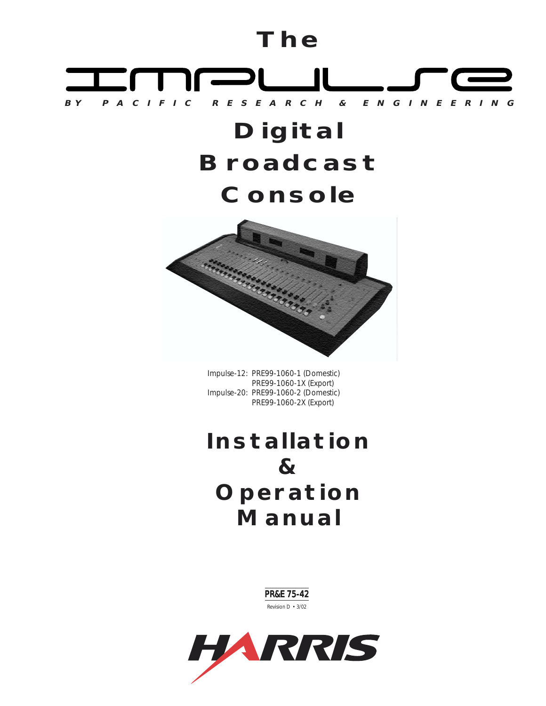# **The**



# **Digital Broadcast Console**



Impulse-12: PRE99-1060-1 (Domestic) PRE99-1060-1X (Export) Impulse-20: PRE99-1060-2 (Domestic) PRE99-1060-2X (Export)

# **Installation & Operation Manual**

PR&E 75-42 Revision D • 3/02

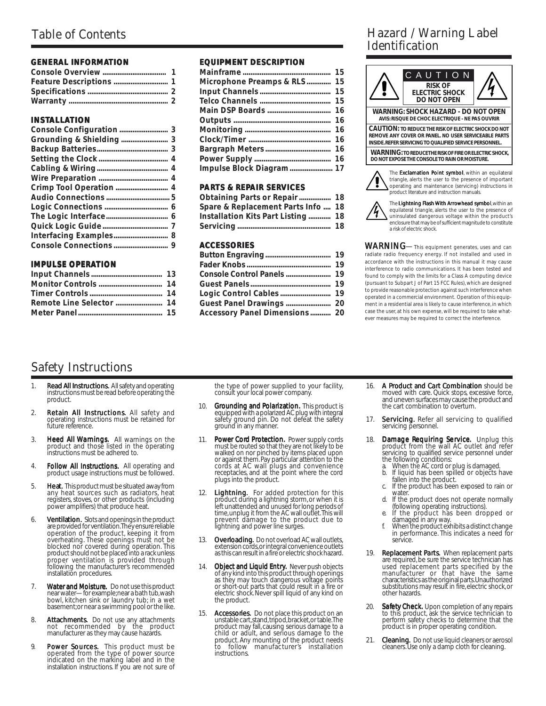#### **GENERAL INFORMATION**

#### **INSTALLATION**

#### **IMPULSE OPERATION**

#### **EQUIPMENT DESCRIPTION**

| Microphone Preamps & RLS 15 |  |
|-----------------------------|--|
|                             |  |
|                             |  |
|                             |  |
|                             |  |
|                             |  |
|                             |  |
|                             |  |
|                             |  |
| Impulse Block Diagram 17    |  |

#### **PA RTS & REPAIR SERVICES**

| Obtaining Parts or Repair 18       |  |
|------------------------------------|--|
| Spare & Replacement Parts Info 18  |  |
| Installation Kits Part Listing  18 |  |
|                                    |  |

#### **ACCESSORIES**

| Logic Control Cables  19       |  |
|--------------------------------|--|
| Guest Panel Drawings  20       |  |
| Accessory Panel Dimensions  20 |  |

## Hazard / Warning Label Identification





The Lightning Flash With Arrowhead symbol, within an equilateral triangle, alerts the user to the presence of uninsulated dangerous voltage within the product's enclosure that may be of sufficient magnitude to constitute a risk of electric shock.

WARNING—This equipment generates, uses and can radiate radio frequency energy. If not installed and used in accordance with the instructions in this manual it may cause inter ference to radio communications. It has been tested and found to comply with the limits for a Class A computing device (pursuant to Subpart J of Part 15 FCC Rules), which are designed to provide reasonable protection against such interference when operated in a commercial environment. Operation of this equipment in a residential area is likely to cause interference, in which case the user, at his own expense, will be required to take whatever measures may be required to correct the interference.

## Safety Instructions

- 1. **Read All Instructions.** All safety and operating the instructions must be read before operating the product.
- 2. **Retain All Instructions.** All safety and operating instructions must be retained for future reference.
- 3. **Heed All Warnings.** All warnings on the . product and those listed in the operating instructions must be adhered to.
- 4. **Follow All Instructions.** All operating and . product usage instructions must be followed.
- 5. **Heat**. This product must be situated away from any heat sources such as radiators, heat registers, stoves, or other products (including power amplifiers) that produce heat.
- 6. **Ventilation.** Slots and openings in the product<br>are provided for ventilation. They ensure reliable<br>operation of the product, keeping it from<br>overheating. These openings must not be<br>blocked nor covered during operation. installation procedures.
- 7. **Water and Moisture.** Do not use this product<br>near water—for example;near a bath tub, wash<br>bowl, kitchen sink or laundry tub; in a wet basement; or near a swimming pool or the like.
- 8. **Attachments.** Do not use any attachments<br>not recommended by the product<br>manufacturer as they may cause hazards.
- 9. **Power Sources**. This product must be operated from the type of power source indicated on the marking label and in the installation instructions. If you are not sure of

the type of power supplied to your facility, consult your local power company.

- 10. **Grounding and Polarization**. This product is<br>equipped with a polarized AC plug with integral<br>safety ground pin. Do not defeat the safety ground in any manner.
- 11. Power Cord Protection. Power supply cords must be routed so that they are not likely to be walked on nor pinched by items placed upon or against them. Pay particular attention to the cords at AC wall plugs and convenience receptacles, and at the point where the cord plugs into the product.
- 12. **Lightning.** For added protection for this product during a lightning storm, or when it is left unattended and unused for long periods of the time, unplug it from the AC wall outlet. This will prevent damage to the pro
- 13. **Overloading.** Do not overload AC wall outlets, extension cords, or integral convenience outlets<br>as this can result in a fire or electric shock hazard.
- 14. **Object and Liquid Entry.** Never push objects of any kind into this product through openings as they may touch dangerous voltage points or short-out parts that could result in a fire or electric shock. Never spill liquid of any kind on the product.
- 15. **Accessories.** Do not place this product on an unstable cart, stand, tripod, bracket, or table. The product may fall, causing serious damage to a child or adult, and serious damage to the product. Any mounting of the product needs to follow manufacturer's installation instructions.
- 16. A Product and Cart Combination should be moved with care. Quick stops, excessive force, and uneven surfaces may cause the product and the cart combination to overturn.
- 17. **Servicing.** Refer all servicing to qualified servicing personnel.
- 18. **Damage Requiring Service.** Unplug this . product from the wall AC outlet and refer<br>servicing to qualified service personnel under
	- the following conditions: a. When the AC cord or plug is damaged. b. If liquid has been spilled or objects have
	- fallen into the product.<br>
	c. If the product has been exposed to rain or
	- water
	- d. If the product does not operate normally<br>
	(following operating instructions).<br>
	e. If the product has been dropped or<br>
	damaged in any way.<br>
	f. When the product exhibits a distinct change
	-
	- in performance. This indicates a need for service.
- 19. **Replacement Parts.** When replacement parts are required, be sure the service technician has used replacement parts specified by the<br>manufacturer or that have the same<br>characteristics as the original parts. Unauthorized<br>substitutions may result in fire, electric shock, or other hazards.
- 20. **Safety Check**. Upon completion of any repairs to this product, ask the service technician to perform safety checks to determine that the product is in proper operating condition.
- **Cleaning.** Do not use liquid cleaners or aerosol cleaners. Use only a damp cloth for cleaning.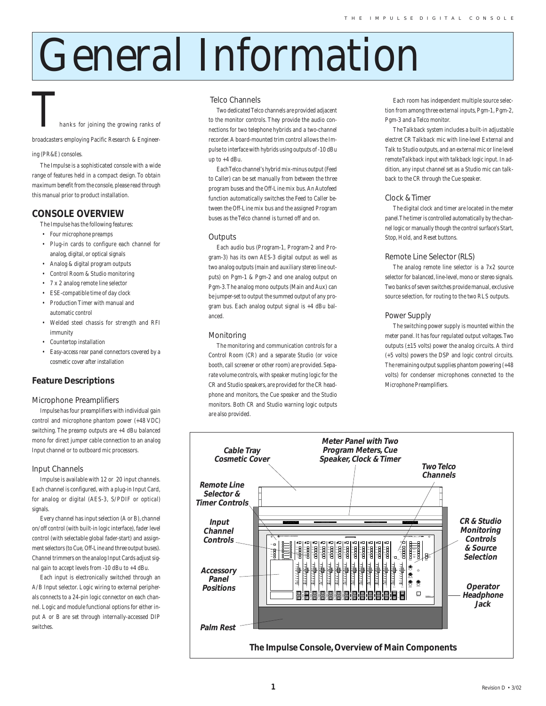# General Information

hanks for joining the growing ranks of

broadcasters employing Pacific Research & Engineer-

#### ing (PR&E) consoles.

The Impulse is a sophisticated console with a wide range of features held in a compact design. To obtain maximum benefit from the console, please read through this manual prior to product installation.

#### **CONSOLE OVERVIEW**

- The Impulse has the following features:
- Four microphone preamps
- Plug-in cards to configure each channel for analog, digital, or optical signals
- Analog & digital program outputs
- Control Room & Studio monitoring
- 7 x 2 analog remote line selector
- ESE-compatible time of day clock
- Production Timer with manual and automatic control
- Welded steel chassis for strength and RFI immunity
- Countertop installation
- Easy-access rear panel connectors covered by a cosmetic cover after installation

#### **Feature Descriptions**

#### Microphone Preamplifiers

Impulse has four preamplifiers with individual gain control and microphone phantom power (+48 VDC) switching. The preamp outputs are +4 dBu balanced mono for direct jumper cable connection to an analog Input channel or to outboard mic processors.

#### Input Channels

Impulse is available with 12 or 20 input channels. Each channel is configured, with a plug-in Input Card, for analog or digital (AES-3, S/PDIF or optical) signals.

Every channel has input selection (A or B), channel on/off control (with built-in logic interface), fader level control (with selectable global fader-start) and assignment selectors (to Cue, Off-Line and three output buses). Channel trimmers on the analog Input Cards adjust signal gain to accept levels from -10 dBu to +4 dBu.

Each input is electronically switched through an A/B Input selector. Logic wiring to external peripherals connects to a 24-pin logic connector on each channel. Logic and module functional options for either input A or B are set through internally-accessed DIP switches.

#### Telco Channels

Two dedicated Telco channels are provided adjacent to the monitor controls. They provide the audio connections for two telephone hybrids and a two-channel recorder. A board-mounted trim control allows the Impulse to interface with hybrids using outputs of -10 dBu up to +4 dBu.

Each Telco channel's hybrid mix-minus output (Feed to Caller) can be set manually from between the three program buses and the Off-Line mix bus. An Autofeed function automatically switches the Feed to Caller between the Off-Line mix bus and the assigned Program buses as the Telco channel is turned off and on.

#### **Outputs**

Each audio bus (Program-1, Program-2 and Program-3) has its own AES-3 digital output as well as two analog outputs (main and auxiliary stereo line outputs) on Pgm-1 & Pgm-2 and one analog output on Pgm-3. The analog mono outputs (Main and Aux) can be jumper-set to output the summed output of any program bus. Each analog output signal is +4 dBu balanced.

#### Monitoring

The monitoring and communication controls for a Control Room (CR) and a separate Studio (or voice booth, call screener or other room) are provided. Separate volume controls, with speaker muting logic for the CR and Studio speakers, are provided for the CR headphone and monitors, the Cue speaker and the Studio monitors. Both CR and Studio warning logic outputs are also provided.

Each room has independent multiple source selection from among three external inputs, Pgm-1, Pgm-2, Pgm-3 and a Telco monitor.

The Talkback system includes a built-in adjustable electret CR Talkback mic with line-level External and Talk to Studio outputs, and an external mic or line level remote Talkback input with talkback logic input. In addition, any input channel set as a Studio mic can talkback to the CR through the Cue speaker.

#### Clock & Timer

The digital clock and timer are located in the meter panel. The timer is controlled automatically by the channel logic or manually though the control surface's Start, Stop, Hold, and Reset buttons.

#### Remote Line Selector (RLS)

The analog remote line selector is a 7x2 source selector for balanced, line-level, mono or stereo signals. Two banks of seven switches provide manual, exclusive source selection, for routing to the two RLS outputs.

#### Power Supply

The switching power supply is mounted within the meter panel. It has four regulated output voltages. Two outputs  $(\pm 15 \text{ volts})$  power the analog circuits. A third (+5 volts) powers the DSP and logic control circuits. The remaining output supplies phantom powering (+48 volts) for condenser microphones connected to the Microphone Preamplifiers.

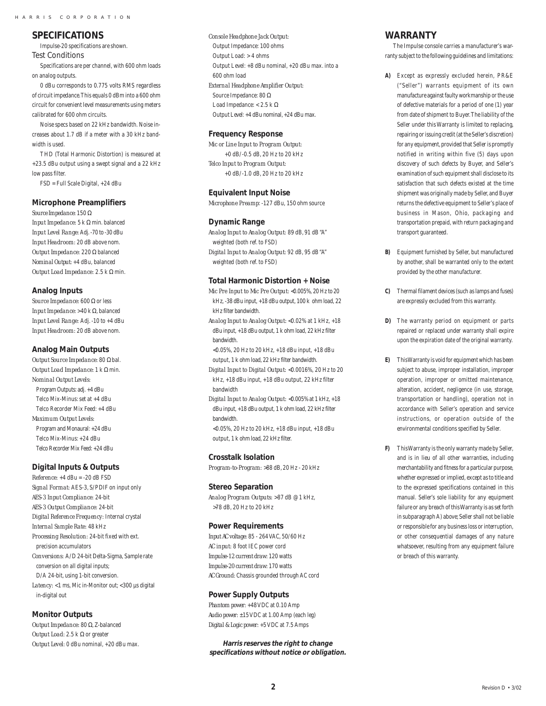#### **SPECIFICATIONS**

Impulse-20 specifications are shown. Test Conditions

Specifications are per channel, with 600 ohm loads on analog outputs.

0 dBu corresponds to 0.775 volts RMS regardless of circuit impedance. This equals 0 dBm into a 600 ohm circuit for convenient level measurements using meters calibrated for 600 ohm circuits.

Noise specs based on 22 kHz bandwidth. Noise increases about 1.7 dB if a meter with a 30 kHz bandwidth is used.

THD (Total Harmonic Distortion) is measured at +23.5 dBu output using a swept signal and a 22 kHz low pass filter.

FSD = Full Scale Digital, +24 dBu

#### **Microphone Preamplifiers**

*Source Impedance:* 150 Ω *Input Impedance:* 5 k Ω min. balanced *Input Level Range:* Adj. -70 to -30 dBu *Input Headroom:* 20 dB above nom. *Output Impedance:* 220 Ω balanced *Nominal Output:* +4 dBu, balanced *Output Load Impedance:* 2.5 k Ω min.

#### **Analog Inputs**

*Source Impedance:* 600 Ω or less *Input Impedance:* >40 k Ω, balanced *Input Level Range:* Adj. -10 to +4 dBu *Input Headroom:* 20 dB above nom.

#### **Analog Main Outputs**

*Output Source Impedance:* 80 Ω bal. *Output Load Impedance:* 1 k Ω min. *Nominal Output Levels:* Program Outputs: adj. +4 dBu Telco Mix-Minus: set at +4 dBu Telco Recorder Mix Feed: +4 dBu *Maximum Output Levels:* Program and Monaural: +24 dBu Telco Mix-Minus: +24 dBu Telco Recorder Mix Feed: +24 dBu

#### **Digital Inputs & Outputs**

*Reference:* +4 dBu = -20 dB FSD *Signal Format:* AES-3, S/PDIF on input only *AES-3 Input Compliance:* 24-bit *AES-3 Output Compliance:* 24-bit *Digital Reference Frequency:* Internal crystal *Internal Sample Rate:* 48 kHz *Processing Resolution:* 24-bit fixed with ext. precision accumulators *Conversions:* A/D 24-bit Delta-Sigma, Sample rate conversion on all digital inputs; D/A 24-bit, using 1-bit conversion. Latency: <1 ms, Mic in-Monitor out; <300 µs digital in-digital out

#### **Monitor Outputs**

*Output Impedance:* 80 Ω, Z-balanced *Output Load:* 2.5 k Ω or greater *Output Level:* 0 dBu nominal, +20 dBu max. *Console Headphone Jack Output:* Output Impedance: 100 ohms Output Load: > 4 ohms Output Level: +8 dBu nominal, +20 dBu max. into a 600 ohm load *External Headphone Amplifier Output:* Source Impedance: 80 Ω Load Impedance: < 2.5 k  $\Omega$ Output Level: +4 dBu nominal, +24 dBu max.

#### **Frequency Response**

*Mic or Line Input to Program Output:* +0 dB/-0.5 dB, 20 Hz to 20 kHz *Telco Input to Program Output:* +0 dB/-1.0 dB, 20 Hz to 20 kHz

#### **Equivalent Input Noise**

*Microphone Preamp*: -127 dBu, 150 ohm source

#### **Dynamic Range**

*Analog Input to Analog Output:* 89 dB, 91 dB "A" weighted (both ref. to FSD) *Digital Input to Analog Output:* 92 dB, 95 dB "A" weighted (both ref. to FSD)

#### **Total Harmonic Distortion + Noise**

*Mic Pre Input to Mic Pre Output:* <0.005%, 20 Hz to 20 kHz, -38 dBu input, +18 dBu output, 100 k ohm load, 22 kHz filter bandwidth.

*Analog Input to Analog Output:* <0.02% at 1 kHz, +18 dBu input, +18 dBu output, 1 k ohm load, 22 kHz filter bandwidth.

<0.05%, 20 Hz to 20 kHz, +18 dBu input, +18 dBu output, 1 k ohm load, 22 kHz filter bandwidth.

*Digital Input to Digital Output:* <0.0016%, 20 Hz to 20 kHz, +18 dBu input, +18 dBu output, 22 kHz filter bandwidth

*Digital Input to Analog Output:* <0.005% at 1 kHz, +18 dBu input, +18 dBu output, 1 k ohm load, 22 kHz filter bandwidth.

<0.05%, 20 Hz to 20 kHz, +18 dBu input, +18 dBu output, 1 k ohm load, 22 kHz filter.

#### **Crosstalk Isolation**

*Program-to-Program:* >88 dB, 20 Hz - 20 kHz

#### **Stereo Separation**

*Analog Program Outputs:* >87 dB @ 1 kHz, >78 dB, 20 Hz to 20 kHz

#### **Power Requirements**

*Input AC voltage:* 85 - 264 VAC, 50/60 Hz *AC input:* 8 foot IEC power cord *Impulse-12 current draw:* 120 watts *Impulse-20 current draw:* 170 watts *AC Ground:* Chassis grounded through AC cord

#### **Power Supply Outputs**

*Phantom power:* +48 VDC at 0.10 Amp *Audio power:* ±15 VDC at 1.00 Amp (each leg) *Digital & Logic power:* +5 VDC at 7.5 Amps

**Harris reserves the right to change specifications without notice or obligation.**

#### **WARRANTY**

The Impulse console carries a manufacturer's warranty subject to the following guidelines and limitations:

- **A)** Except as expressly excluded herein, PR&E ("Seller") warrants equipment of its own manufacture against faulty workmanship or the use of defective materials for a period of one (1) year from date of shipment to Buyer. The liability of the Seller under this Warranty is limited to replacing, repairing or issuing credit (at the Seller's discretion) for any equipment, provided that Seller is promptly notified in writing within five (5) days upon discovery of such defects by Buyer, and Seller's examination of such equipment shall disclose to its satisfaction that such defects existed at the time shipment was originally made by Seller, and Buyer returns the defective equipment to Seller's place of business in Mason, Ohio, packaging and transportation prepaid, with return packaging and transport guaranteed.
- **B)** Equipment furnished by Seller, but manufactured by another, shall be warranted only to the extent provided by the other manufacturer.
- **C)** Thermal filament devices (such as lamps and fuses) are expressly excluded from this warranty.
- **D)** The warranty period on equipment or parts repaired or replaced under warranty shall expire upon the expiration date of the original warranty.
- **E)** This Warranty is void for equipment which has been subject to abuse, improper installation, improper operation, improper or omitted maintenance, alteration, accident, negligence (in use, storage, transportation or handling), operation not in accordance with Seller's operation and service instructions, or operation outside of the environmental conditions specified by Seller.
- **F)** This Warranty is the only warranty made by Seller, and is in lieu of all other warranties, including merchantability and fitness for a particular purpose, whether expressed or implied, except as to title and to the expressed specifications contained in this manual. Seller's sole liability for any equipment failure or any breach of this Warranty is as set forth in subparagraph A) above; Seller shall not be liable or responsible for any business loss or interruption, or other consequential damages of any nature whatsoever, resulting from any equipment failure or breach of this warranty.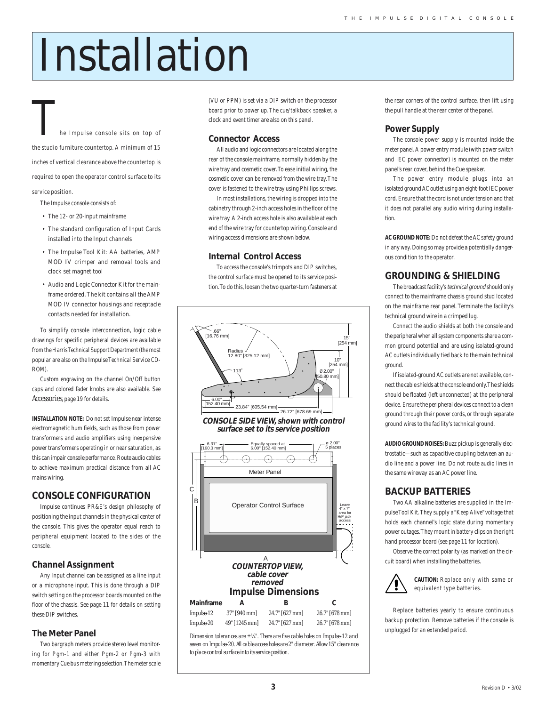# Installation

# he Impulse console sits on top of the studio furniture countertop. A minimum of 15 inches of vertical clearance above the countertop is

required to open the operator control surface to its

service position.

- The Impulse console consists of:
- The 12- or 20-input mainframe
- The standard configuration of Input Cards installed into the Input channels
- The Impulse Tool Kit: AA batteries, AMP MOD IV crimper and removal tools and clock set magnet tool
- Audio and Logic Connector Kit for the mainframe ordered. The kit contains all the AMP MOD IV connector housings and receptacle contacts needed for installation.

To simplify console interconnection, logic cable drawings for specific peripheral devices are available from the Harris Technical Support Department (the most popular are also on the Impulse Technical Service CD-ROM).

Custom engraving on the channel On/Off button caps and colored fader knobs are also available. See *Accessories*, page 19 for details.

**INSTALLATION NOTE:** Do not set Impulse near intense electromagnetic hum fields, such as those from power transformers and audio amplifiers using inexpensive power transformers operating in or near saturation, as this can impair console performance. Route audio cables to achieve maximum practical distance from all AC mains wiring.

#### **CONSOLE CONFIGURATION**

Impulse continues PR&E's design philosophy of positioning the input channels in the physical center of the console. This gives the operator equal reach to peripheral equipment located to the sides of the console.

#### **Channel Assignment**

Any Input channel can be assigned as a line input or a microphone input. This is done through a DIP switch setting on the processor boards mounted on the floor of the chassis. See page 11 for details on setting these DIP switches.

#### **The Meter Panel**

Two bargraph meters provide stereo level monitoring for Pgm-1 and either Pgm-2 or Pgm-3 with momentary Cue bus metering selection. The meter scale

(VU or PPM) is set via a DIP switch on the processor board prior to power up. The cue/talkback speaker, a clock and event timer are also on this panel.

#### **Connector Access**

All audio and logic connectors are located along the rear of the console mainframe, normally hidden by the wire tray and cosmetic cover. To ease initial wiring, the cosmetic cover can be removed from the wire tray. The cover is fastened to the wire tray using Phillips screws.

In most installations, the wiring is dropped into the cabinetry through 2-inch access holes in the floor of the wire tray. A 2-inch access hole is also available at each end of the wire tray for countertop wiring. Console and wiring access dimensions are shown below.

#### **Internal Control Access**

To access the console's trimpots and DIP switches, the control surface must be opened to its service position. To do this, loosen the two quarter-turn fasteners at





*Dimension tolerances are ±¼". There are five cable holes on Impulse-12 and seven on Impulse-20. All cable access holes are 2" diameter. Allow 15" clearance to place control surface into its service position.*

the rear corners of the control surface, then lift using the pull handle at the rear center of the panel.

#### **Power Supply**

The console power supply is mounted inside the meter panel. A power entry module (with power switch and IEC power connector) is mounted on the meter panel's rear cover, behind the Cue speaker.

The power entry module plugs into an isolated ground AC outlet using an eight-foot IEC power cord. Ensure that the cord is not under tension and that it does not parallel any audio wiring during installation.

**AC GROUND NOTE:** Do not defeat the AC safety ground in any way. Doing so may provide a potentially dangerous condition to the operator.

#### **GROUNDING & SHIELDING**

The broadcast facility's technical ground should only connect to the mainframe chassis ground stud located on the mainframe rear panel. Terminate the facility's technical ground wire in a crimped lug.

Connect the audio shields at both the console and the peripheral when all system components share a common ground potential and are using isolated-ground AC outlets individually tied back to the main technical ground.

If isolated-ground AC outlets are not available, connect the cable shields at the console end only. The shields should be floated (left unconnected) at the peripheral device. Ensure the peripheral devices connect to a clean ground through their power cords, or through separate ground wires to the facility's technical ground.

**AUDIO GROUND NOISES:** Buzz pickup is generally electrostatic—such as capacitive coupling between an audio line and a power line. Do not route audio lines in the same wireway as an AC power line.

#### **BACKUP BATTERIES**

Two AA alkaline batteries are supplied in the Impulse Tool Kit. They supply a "Keep Alive" voltage that holds each channel's logic state during momentary power outages. They mount in battery clips on the right hand processor board (see page 11 for location).

Observe the correct polarity (as marked on the circuit board) when installing the batteries.



**CAUTION:** Replace only with same or equivalent type batteries.

Replace batteries yearly to ensure continuous backup protection. Remove batteries if the console is unplugged for an extended period.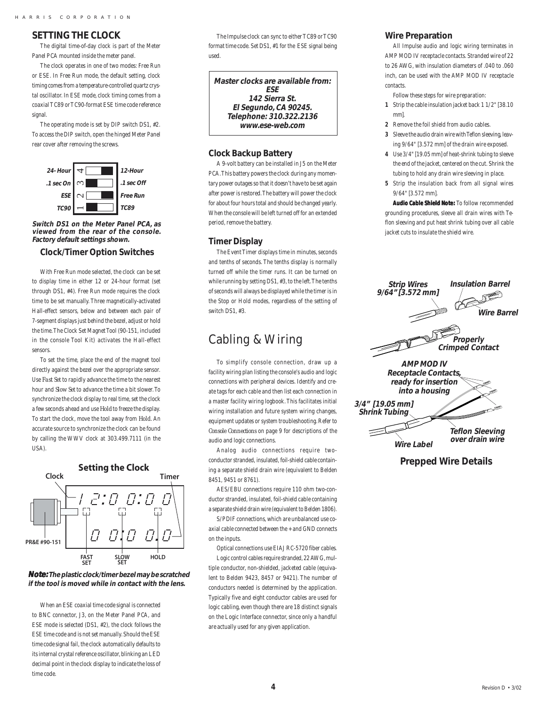#### **SETTING THE CLOCK**

The digital time-of-day clock is part of the Meter Panel PCA mounted inside the meter panel.

The clock operates in one of two modes: Free Run or ESE. In Free Run mode, the default setting, clock timing comes from a temperature-controlled quartz crystal oscillator. In ESE mode, clock timing comes from a coaxial TC89 or TC90-format ESE time code reference signal

The operating mode is set by DIP switch DS1, #2. To access the DIP switch, open the hinged Meter Panel rear cover after removing the screws.



**Switch DS1 on the Meter Panel PCA, as viewed from the rear of the console. Factory default settings shown.** 

#### **Clock/Timer Option Switches**

With Free Run mode selected, the clock can be set to display time in either 12 or 24-hour format (set through DS1, #4). Free Run mode requires the clock time to be set manually. Three magnetically-activated Hall-effect sensors, below and between each pair of 7-segment displays just behind the bezel, adjust or hold the time. The Clock Set Magnet Tool (90-151, included in the console Tool Kit) activates the Hall-effect sensors.

To set the time, place the end of the magnet tool directly against the bezel over the appropriate sensor. Use *Fast Set* to rapidly advance the time to the nearest hour and *Slow Set* to advance the time a bit slower. To synchronize the clock display to real time, set the clock a few seconds ahead and use *Hold* to freeze the display. To start the clock, move the tool away from *Hold*. An accurate source to synchronize the clock can be found by calling the WWV clock at 303.499.7111 (in the USA).



**Note: The plastic clock/timer bezel may be scratched if the tool is moved while in contact with the lens.**

When an ESE coaxial time code signal is connected to BNC connector, J3, on the Meter Panel PCA, and ESE mode is selected (DS1, #2), the clock follows the ESE time code and is not set manually. Should the ESE time code signal fail, the clock automatically defaults to its internal crystal reference oscillator, blinking an LED decimal point in the clock display to indicate the loss of time code.

The Impulse clock can sync to either TC89 or TC90 format time code. Set DS1, #1 for the ESE signal being used.

**Master clocks are available from: ESE 142 Sierra St. El Segundo, CA 90245. Telephone: 310.322.2136 www.ese-web.com**

#### **Clock Backup Battery**

A 9-volt battery can be installed in J5 on the Meter PCA. This battery powers the clock during any momentary power outages so that it doesn't have to be set again after power is restored. The battery will power the clock for about four hours total and should be changed yearly. When the console will be left turned off for an extended period, remove the battery.

#### **Timer Display**

The Event Timer displays time in minutes, seconds and tenths of seconds. The tenths display is normally turned off while the timer runs. It can be turned on while running by setting DS1, #3, to the left. The tenths of seconds will always be displayed while the timer is in the Stop or Hold modes, regardless of the setting of switch DS1, #3.

## Cabling & Wiring

To simplify console connection, draw up a facility wiring plan listing the console's audio and logic connections with peripheral devices. Identify and create tags for each cable and then list each connection in a master facility wiring logbook. This facilitates initial wiring installation and future system wiring changes, equipment updates or system troubleshooting. Refer to *Console Connections* on page 9 for descriptions of the audio and logic connections.

Analog audio connections require twoconductor stranded, insulated, foil-shield cable containing a separate shield drain wire (equivalent to Belden 8451, 9451 or 8761).

AES/EBU connections require 110 ohm two-conductor stranded, insulated, foil-shield cable containing a separate shield drain wire (equivalent to Belden 1806).

S/PDIF connections, which are unbalanced use coaxial cable connected between the + and GND connects on the inputs.

Optical connections use EIAJ RC-5720 fiber cables. Logic control cables require stranded, 22 AWG, multiple conductor, non-shielded, jacketed cable (equivalent to Belden 9423, 8457 or 9421). The number of conductors needed is determined by the application. Typically five and eight conductor cables are used for logic cabling, even though there are 18 distinct signals on the Logic Interface connector, since only a handful are actually used for any given application.

#### **Wire Preparation**

All Impulse audio and logic wiring terminates in AMP MOD IV receptacle contacts. Stranded wire of 22 to 26 AWG, with insulation diameters of .040 to .060 inch, can be used with the AMP MOD IV receptacle contacts.

Follow these steps for wire preparation:

- **1** Strip the cable insulation jacket back 1 1/2" [38.10 mm].
- **2** Remove the foil shield from audio cables.
- **3** Sleeve the audio drain wire with Teflon sleeving, leaving 9/64" [3.572 mm] of the drain wire exposed.
- **4** Use 3/4" [19.05 mm] of heat-shrink tubing to sleeve the end of the jacket, centered on the cut. Shrink the tubing to hold any drain wire sleeving in place.
- **5** Strip the insulation back from all signal wires 9/64" [3.572 mm].

**Audio Cable Shield Note:** To follow recommended grounding procedures, sleeve all drain wires with Teflon sleeving and put heat shrink tubing over all cable jacket cuts to insulate the shield wire.



**Prepped Wire Details**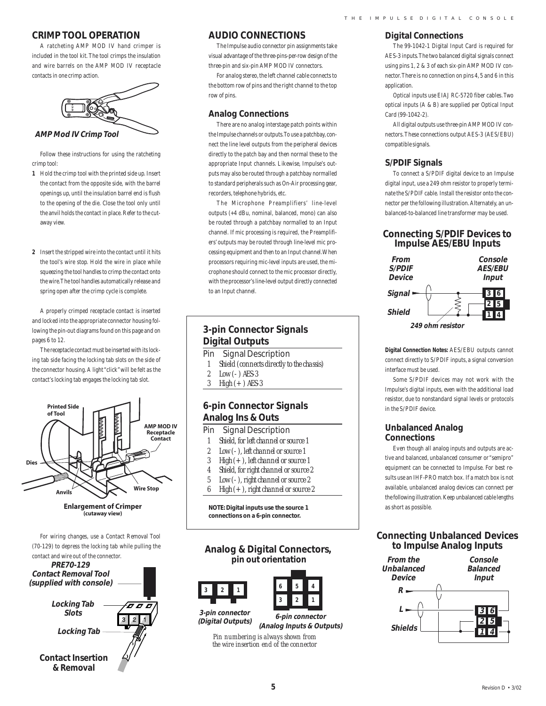#### **CRIMP TOOL OPERATION**

A ratcheting AMP MOD IV hand crimper is included in the tool kit. The tool crimps the insulation and wire barrels on the AMP MOD IV receptacle contacts in one crimp action.



**AMP Mod IV Crimp Tool**

Follow these instructions for using the ratcheting crimp tool:

- **1** Hold the crimp tool with the printed side up. Insert the contact from the opposite side, with the barrel openings up, until the insulation barrel end is flush to the opening of the die. Close the tool only until the anvil holds the contact in place. Refer to the cutaway view.
- **2** Insert the stripped wire into the contact until it hits the tool's wire stop. Hold the wire in place while squeezing the tool handles to crimp the contact onto the wire. The tool handles automatically release and spring open after the crimp cycle is complete.

A properly crimped receptacle contact is inserted and locked into the appropriate connector housing following the pin-out diagrams found on this page and on pages 6 to 12.

The receptacle contact must be inserted with its locking tab side facing the locking tab slots on the side of the connector housing. A light "click" will be felt as the contact's locking tab engages the locking tab slot.



**Enlargement of Crimper** (cutaway view)

For wiring changes, use a Contact Removal Tool (70-129) to depress the locking tab while pulling the contact and wire out of the connector.



#### **AUDIO CONNECTIONS**

The Impulse audio connector pin assignments take visual advantage of the three-pins-per-row design of the three-pin and six-pin AMP MOD IV connectors.

For analog stereo, the left channel cable connects to the bottom row of pins and the right channel to the top row of pins.

#### **Analog Connections**

There are no analog interstage patch points within the Impulse channels or outputs. To use a patchbay, connect the line level outputs from the peripheral devices directly to the patch bay and then normal these to the appropriate Input channels. Likewise, Impulse's outputs may also be routed through a patchbay normalled to standard peripherals such as On-Air processing gear, recorders, telephone hybrids, etc.

The Microphone Preamplifiers' line-level outputs (+4 dBu, nominal, balanced, mono) can also be routed through a patchbay normalled to an Input channel. If mic processing is required, the Preamplifiers' outputs may be routed through line-level mic processing equipment and then to an Input channel. When processors requiring mic-level inputs are used, the microphone should connect to the mic processor directly, with the processor's line-level output directly connected to an Input channel.

### **3-pin Connector Signals Digital Outputs**

- Pin Signal Description
- *1 Shield (connects directly to the chassis)*
- *2 Low (- ) AES-3*
- *3 High (+ ) AES-3*

#### **6-pin Connector Signals Analog Ins & Outs**

- Pin Signal Description
- *1 Shield, for left channel or source 1*
- 
- *2 Low (- ), left channel or source 1 3 High (+ ), left channel or source 1*
- *4 Shield, for right channel or source 2*
- *5 Low (- ), right channel or source 2*
- *6 High (+ ), right channel or source 2*
- 

**NOTE: Digital inputs use the source 1 connections on a 6-pin connector.**

#### **Analog & Digital Connectors, pin out orientation**

**3-pin connector 321**



**(Digital Outputs)**

**6-pin connector (Analog Inputs & Outputs)**

*Pin numbering is always shown from the wire insertion end of the connector*

#### **Digital Connections**

The 99-1042-1 Digital Input Card is required for AES-3 inputs. The two balanced digital signals connect using pins 1, 2 & 3 of each six-pin AMP MOD IV connector. There is no connection on pins 4, 5 and 6 in this application.

Optical inputs use EIAJ RC-5720 fiber cables. Two optical inputs (A & B) are supplied per Optical Input Card (99-1042-2).

All digital outputs use three-pin AMP MOD IV connectors. These connections output AES-3 (AES/EBU) compatible signals.

#### **S/PDIF Signals**

To connect a S/PDIF digital device to an Impulse digital input, use a 249 ohm resistor to properly terminate the S/PDIF cable. Install the resistor onto the connector per the following illustration. Alternately, an unbalanced-to-balanced line transformer may be used.

#### **Connecting S/PDIF Devices to Impulse AES/EBU Inputs**



**Digital Connection Notes:** AES/EBU outputs cannot connect directly to S/PDIF inputs, a signal conversion interface must be used.

Some S/PDIF devices may not work with the Impulse's digital inputs, even with the additional load resistor, due to nonstandard signal levels or protocols in the S/PDIF device.

#### **Unbalanced Analog Connections**

Even though all analog inputs and outputs are active and balanced, unbalanced consumer or "semipro" equipment can be connected to Impulse. For best results use an IHF-PRO match box. If a match box is not available, unbalanced analog devices can connect per the following illustration. Keep unbalanced cable lengths as short as possible.

#### **Connecting Unbalanced Devices to Impulse Analog Inputs**

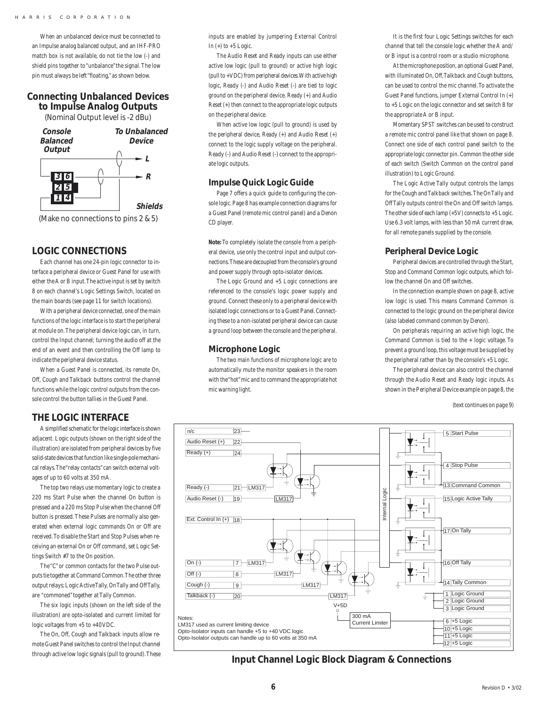When an unbalanced device must be connected to an Impulse analog balanced output, and an IHF-PRO match box is not available, do not tie the low (-) and shield pins together to "unbalance" the signal. The low pin must always be left "floating," as shown below.

#### **Connecting Unbalanced Devices to Impulse Analog Outputs**

(Nominal Output level is -2 dBu)



#### **LOGIC CONNECTIONS**

Each channel has one 24-pin logic connector to interface a peripheral device or Guest Panel for use with either the A or B input. The active input is set by switch 8 on each channel's Logic Settings Switch, located on the main boards (see page 11 for switch locations).

With a peripheral device connected, one of the main functions of the logic interface is to start the peripheral at module on. The peripheral device logic can, in turn, control the Input channel; turning the audio off at the end of an event and then controlling the Off lamp to indicate the peripheral device status.

When a Guest Panel is connected, its remote On, Off, Cough and Talkback buttons control the channel functions while the logic control outputs from the console control the button tallies in the Guest Panel.

#### **THE LOGIC INTERFACE**

A simplified schematic for the logic interface is shown adjacent. Logic outputs (shown on the right side of the illustration) are isolated from peripheral devices by five solid-state devices that function like single-pole mechanical relays. The "relay contacts" can switch external voltages of up to 60 volts at 350 mA.

The top two relays use momentary logic to create a 220 ms Start Pulse when the channel On button is pressed and a 220 ms Stop Pulse when the channel Off button is pressed. These Pulses are normally also generated when external logic commands On or Off are received. To disable the Start and Stop Pulses when receiving an external On or Off command, set Logic Settings Switch #7 to the On position.

The "C" or common contacts for the two Pulse outputs tie together at Command Common. The other three output relays; Logic Active Tally, On Tally and Off Tally, are "commoned" together at Tally Common.

The six logic inputs (shown on the left side of the illustration) are opto-isolated and current limited for logic voltages from +5 to +40 VDC.

The On, Off, Cough and Talkback inputs allow remote Guest Panel switches to control the Input channel through active low logic signals (pull to ground). These inputs are enabled by jumpering External Control In  $(+)$  to  $+5$  Logic.

The Audio Reset and Ready inputs can use either active low logic (pull to ground) or active high logic (pull to +VDC) from peripheral devices. With active high logic, Ready (-) and Audio Reset (-) are tied to logic ground on the peripheral device. Ready (+) and Audio Reset (+) then connect to the appropriate logic outputs on the peripheral device.

When active low logic (pull to ground) is used by the peripheral device, Ready (+) and Audio Reset (+) connect to the logic supply voltage on the peripheral. Ready (-) and Audio Reset (-) connect to the appropriate logic outputs.

#### **Impulse Quick Logic Guide**

Page 7 offers a quick guide to configuring the console logic. Page 8 has example connection diagrams for a Guest Panel (remote mic control panel) and a Denon CD player.

**Note:** To completely isolate the console from a peripheral device, use only the control input and output connections. These are decoupled from the console's ground and power supply through opto-isolator devices.

The Logic Ground and +5 Logic connections are referenced to the console's logic power supply and ground. Connect these only to a peripheral device with isolated logic connections or to a Guest Panel. Connecting these to a non-isolated peripheral device can cause a ground loop between the console and the peripheral.

#### **Microphone Logic**

The two main functions of microphone logic are to automatically mute the monitor speakers in the room with the "hot" mic and to command the appropriate hot mic warning light.

It is the first four Logic Settings switches for each channel that tell the console logic whether the A and/ or B input is a control room or a studio microphone.

At the microphone position, an optional Guest Panel, with illuminated On, Off, Talkback and Cough buttons, can be used to control the mic channel. To activate the Guest Panel functions, jumper External Control In (+) to +5 Logic on the logic connector and set switch 8 for the appropriate A or B input.

Momentary SPST switches can be used to construct a remote mic control panel like that shown on page 8. Connect one side of each control panel switch to the appropriate logic connector pin. Common the other side of each switch (Switch Common on the control panel illustration) to Logic Ground.

The Logic Active Tally output controls the lamps for the Cough and Talkback switches. The On Tally and Off Tally outputs control the On and Off switch lamps. The other side of each lamp  $(+5V)$  connects to  $+5$  Logic. Use 6.3 volt lamps, with less than 50 mA current draw, for all remote panels supplied by the console.

#### **Peripheral Device Logic**

Peripheral devices are controlled through the Start, Stop and Command Common logic outputs, which follow the channel On and Off switches.

In the connection example shown on page 8, active low logic is used. This means Command Common is connected to the logic ground on the peripheral device (also labeled command common by Denon).

On peripherals requiring an active high logic, the Command Common is tied to the + logic voltage. To prevent a ground loop, this voltage must be supplied by the peripheral rather than by the console's +5 Logic.

The peripheral device can also control the channel through the Audio Reset and Ready logic inputs. As shown in the Peripheral Device example on page 8, the

(text continues on page 9)



**Input Channel Logic Block Diagram & Connections**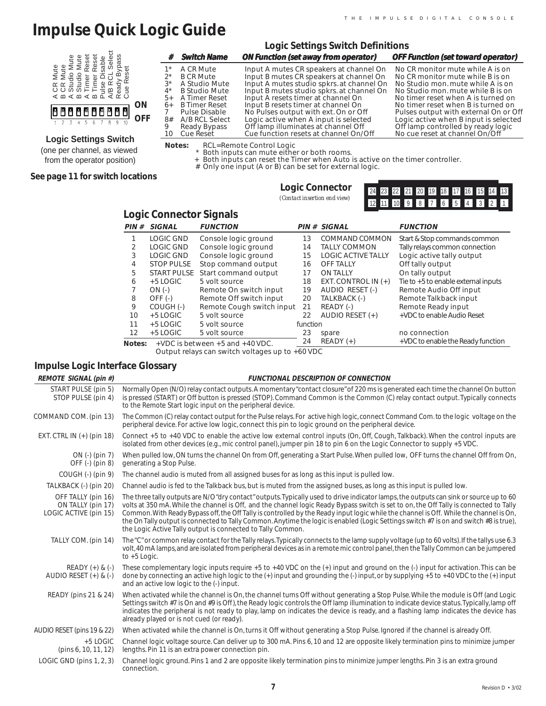# **Impulse Quick Logic Guide**

|                                                                                                                                          |               |                                                                                      | <b>Logic Settings Switch Definitions</b>                                                                                                                                                                           |                                                                                                                                                                                              |
|------------------------------------------------------------------------------------------------------------------------------------------|---------------|--------------------------------------------------------------------------------------|--------------------------------------------------------------------------------------------------------------------------------------------------------------------------------------------------------------------|----------------------------------------------------------------------------------------------------------------------------------------------------------------------------------------------|
| e e g                                                                                                                                    |               | <b>Switch Name</b>                                                                   | <b>ON Function (set away from operator)</b>                                                                                                                                                                        | <b>OFF Function (set toward operator)</b>                                                                                                                                                    |
| A CR Mute<br>B CR Mute<br>A Studio Mute<br>A Studio Mute<br>A Timer Reset<br>P Limer Reset<br>P A/B R CL See<br>Ready Bype<br>Ready Bype | $4^*$<br>$5+$ | A CR Mute<br><b>B CR Mute</b><br>A Studio Mute<br>B Studio Mute<br>A Timer Reset     | Input A mutes CR speakers at channel On<br>Input B mutes CR speakers at channel On<br>Input A mutes studio spkrs, at channel On<br>Input B mutes studio spkrs. at channel On<br>Input A resets timer at channel On | No CR monitor mute while A is on<br>No CR monitor mute while B is on<br>No Studio mon. mute while A is on<br>No Studio mon, mute while B is on<br>No timer reset when A is turned on         |
| <b>ON</b><br>0000000000<br><b>OFF</b>                                                                                                    | $6+$<br>8#    | <b>B</b> Timer Reset<br>Pulse Disable<br>A/B RCL Select<br>Ready Bypass<br>Cue Reset | Input B resets timer at channel On<br>No Pulses output with ext. On or Off<br>Logic active when A input is selected<br>Off lamp illuminates at channel Off<br>Cue function resets at channel On/Off                | No timer reset when B is turned on<br>Pulses output with external On or Off<br>Logic active when B input is selected<br>Off lamp controlled by ready logic<br>No cue reset at channel On/Off |
| <b>Logic Settings Switch</b>                                                                                                             |               | $N \sim + \sim -$                                                                    | DCL Domoto Controllagio                                                                                                                                                                                            |                                                                                                                                                                                              |

**Notes:** RCL=Remote Control Logic \* Both inputs can mute either or both rooms. + Both inputs can reset the Timer when Auto is active on the timer controller.

- 
- # Only one input (A or B) can be set for external logic.

**See page 11 for switch locations**

(one per channel, as viewed from the operator position)

| <b>Logic Connector</b>       |  |
|------------------------------|--|
| (Contact insertion end view) |  |

|  |  |  | 24 23 22 21 20 19 18 17 16 15 14 13 |  |  |  |
|--|--|--|-------------------------------------|--|--|--|
|  |  |  | 12 11 10 9 8 7 6 5 4 3 2 1          |  |  |  |

|  | <b>Logic Connector Signals</b> |  |
|--|--------------------------------|--|
|--|--------------------------------|--|

| PIN#   | <b>SIGNAL</b>      | <b>FUNCTION</b>                          |          | PIN # SIGNAL              | <b>FUNCTION</b>                       |
|--------|--------------------|------------------------------------------|----------|---------------------------|---------------------------------------|
|        | LOGIC GND          | Console logic ground                     | 13       | COMMAND COMMON            | Start & Stop commands common          |
|        | <b>LOGIC GND</b>   | Console logic ground                     | 14       | <b>TALLY COMMON</b>       | Tally relays common connection        |
| 3      | LOGIC GND          | Console logic ground                     | 15       | <b>LOGIC ACTIVE TALLY</b> | Logic active tally output             |
| 4      | <b>STOP PULSE</b>  | Stop command output                      | 16       | <b>OFF TALLY</b>          | Off tally output                      |
| 5.     | <b>START PULSE</b> | Start command output                     | 17       | <b>ON TALLY</b>           | On tally output                       |
| 6      | $+5$ LOGIC         | 5 volt source                            | 18       | EXT. CONTROL IN $(+)$     | Tie to $+5$ to enable external inputs |
|        | $ON(-)$            | Remote On switch input                   | 19       | AUDIO RESET (-)           | Remote Audio Off input                |
| 8      | $OFF(-)$           | Remote Off switch input                  | 20       | TALKBACK (-)              | Remote Talkback input                 |
| 9      | COUGH(-)           | Remote Cough switch input                | 21       | READY (-)                 | Remote Ready input                    |
| 10     | $+5$ LOGIC         | 5 volt source                            | 22       | AUDIO RESET $(+)$         | +VDC to enable Audio Reset            |
| 11     | $+5$ LOGIC         | 5 volt source                            | function |                           |                                       |
| 12     | $+5$ LOGIC         | 5 volt source                            | 23       | spare                     | no connection                         |
| Notes: |                    | $+$ VDC is between $+$ 5 and $+$ 40 VDC. | 24       | $READV (+)$               | +VDC to enable the Ready function     |

Output relays can switch voltages up to +60 VDC

#### **Impulse Logic Interface Glossary**

**REMOTE SIGNAL (pin #)** START PULSE (pin 5)

## **FUNCTIONAL DESCRIPTION OF CONNECTION** Normally Open (N/O) relay contact outputs. A momentary "contact closure" of 220 ms is generated each time the channel On button

| STOP PULSE (pin 4)                                               | is pressed (START) or Off button is pressed (STOP). Command Common is the Common (C) relay contact output. Typically connects<br>to the Remote Start logic input on the peripheral device.                                                                                                                                                                                                                                                                                                                                                                                                                                           |
|------------------------------------------------------------------|--------------------------------------------------------------------------------------------------------------------------------------------------------------------------------------------------------------------------------------------------------------------------------------------------------------------------------------------------------------------------------------------------------------------------------------------------------------------------------------------------------------------------------------------------------------------------------------------------------------------------------------|
| COMMAND COM. (pin 13)                                            | The Common (C) relay contact output for the Pulse relays. For active high logic, connect Command Com. to the logic voltage on the<br>peripheral device. For active low logic, connect this pin to logic ground on the peripheral device.                                                                                                                                                                                                                                                                                                                                                                                             |
| EXT. CTRL IN $(+)$ (pin 18)                                      | Connect +5 to +40 VDC to enable the active low external control inputs (On, Off, Cough, Talkback). When the control inputs are<br>isolated from other devices (e.g., mic control panel), jumper pin 18 to pin 6 on the Logic Connector to supply +5 VDC.                                                                                                                                                                                                                                                                                                                                                                             |
| $ON$ (-) (pin 7)<br>OFF (-) (pin 8)                              | When pulled low, ON turns the channel On from Off, generating a Start Pulse. When pulled low, OFF turns the channel Off from On,<br>generating a Stop Pulse.                                                                                                                                                                                                                                                                                                                                                                                                                                                                         |
| COUGH (-) (pin 9)                                                | The channel audio is muted from all assigned buses for as long as this input is pulled low.                                                                                                                                                                                                                                                                                                                                                                                                                                                                                                                                          |
| TALKBACK (-) (pin 20)                                            | Channel audio is fed to the Talkback bus, but is muted from the assigned buses, as long as this input is pulled low.                                                                                                                                                                                                                                                                                                                                                                                                                                                                                                                 |
| OFF TALLY (pin 16)<br>ON TALLY (pin 17)<br>LOGIC ACTIVE (pin 15) | The three tally outputs are N/O "dry contact" outputs. Typically used to drive indicator lamps, the outputs can sink or source up to 60<br>volts at 350 mA. While the channel is Off, and the channel logic Ready Bypass switch is set to on, the Off Tally is connected to Tally<br>Common. With Ready Bypass off, the Off Tally is controlled by the Ready input logic while the channel is Off. While the channel is On,<br>the On Tally output is connected to Tally Common. Anytime the logic is enabled (Logic Settings switch #7 is on and switch #8 is true),<br>the Logic Active Tally output is connected to Tally Common. |
| TALLY COM. (pin 14)                                              | The "C" or common relay contact for the Tally relays. Typically connects to the lamp supply voltage (up to 60 volts). If the tallys use 6.3<br>volt, 40 mA lamps, and are isolated from peripheral devices as in a remote mic control panel, then the Tally Common can be jumpered<br>to $+5$ Logic.                                                                                                                                                                                                                                                                                                                                 |
| $READV (+) & (-)$<br>AUDIO RESET $(+)$ & $(-)$                   | These complementary logic inputs require $+5$ to $+40$ VDC on the $(+)$ input and ground on the $(.)$ input for activation. This can be<br>done by connecting an active high logic to the $(+)$ input and grounding the $(.)$ input, or by supplying +5 to +40 VDC to the $(+)$ input<br>and an active low logic to the (-) input.                                                                                                                                                                                                                                                                                                   |
| READY (pins 21 & 24)                                             | When activated while the channel is On, the channel turns Off without generating a Stop Pulse. While the module is Off (and Logic<br>Settings switch #7 is On and #9 is Off), the Ready logic controls the Off lamp illumination to indicate device status. Typically, lamp off<br>indicates the peripheral is not ready to play, lamp on indicates the device is ready, and a flashing lamp indicates the device has<br>already played or is not cued (or ready).                                                                                                                                                                   |
| AUDIO RESET (pins 19 & 22)                                       | When activated while the channel is On, turns it Off without generating a Stop Pulse. Ignored if the channel is already Off.                                                                                                                                                                                                                                                                                                                                                                                                                                                                                                         |
| $+5$ LOGIC<br>(pins 6, 10, 11, 12)                               | Channel logic voltage source. Can deliver up to 300 mA. Pins 6, 10 and 12 are opposite likely termination pins to minimize jumper<br>lengths. Pin 11 is an extra power connection pin.                                                                                                                                                                                                                                                                                                                                                                                                                                               |
| LOGIC GND (pins $1, 2, 3$ )                                      | Channel logic ground. Pins 1 and 2 are opposite likely termination pins to minimize jumper lengths. Pin 3 is an extra ground<br>connection.                                                                                                                                                                                                                                                                                                                                                                                                                                                                                          |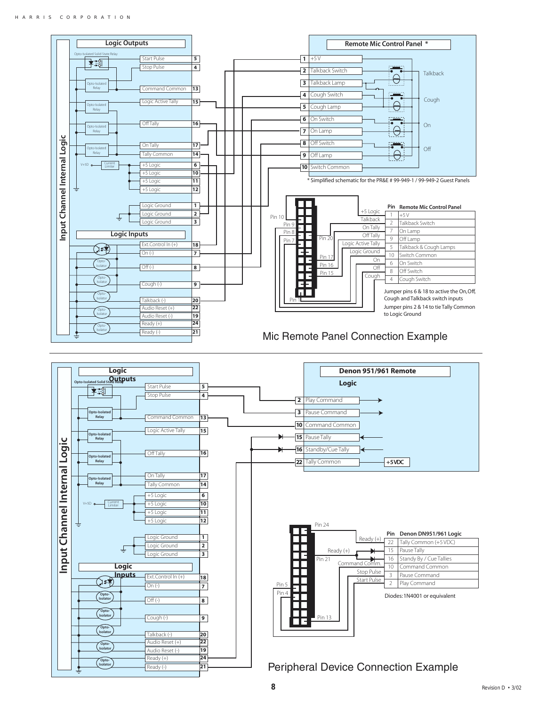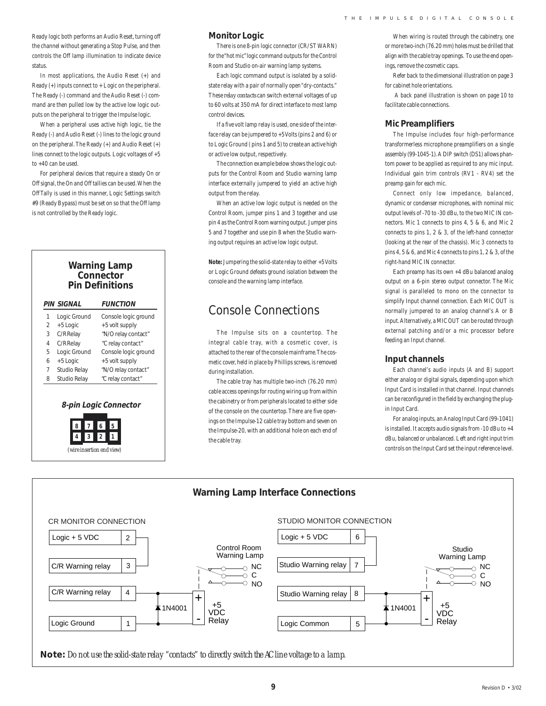Ready logic both performs an Audio Reset, turning off the channel without generating a Stop Pulse, and then controls the Off lamp illumination to indicate device status.

In most applications, the Audio Reset (+) and Ready (+) inputs connect to + Logic on the peripheral. The Ready (-) command and the Audio Reset (-) command are then pulled low by the active low logic outputs on the peripheral to trigger the Impulse logic.

When a peripheral uses active high logic, tie the Ready (-) and Audio Reset (-) lines to the logic ground on the peripheral. The Ready (+) and Audio Reset (+) lines connect to the logic outputs. Logic voltages of +5 to +40 can be used.

For peripheral devices that require a steady On or Off signal, the On and Off tallies can be used. When the Off Tally is used in this manner, Logic Settings switch #9 (Ready Bypass) must be set on so that the Off lamp is not controlled by the Ready logic.

#### **Warning Lamp Connector Pin Definitions**

|                | <b>PIN SIGNAL</b> | <b>FUNCTION</b>      |  |
|----------------|-------------------|----------------------|--|
| 1              | Logic Ground      | Console logic ground |  |
| $\mathfrak{D}$ | +5 Logic          | +5 volt supply       |  |
| 3              | C/R Relay         | "N/O relay contact"  |  |
| 4              | C/R Relay         | "C relay contact"    |  |
| 5              | Logic Ground      | Console logic ground |  |
| 6              | +5 Logic          | +5 volt supply       |  |
| 7              | Studio Relay      | "N/O relay contact"  |  |
| 8              | Studio Relay      | "C relay contact"    |  |
|                |                   |                      |  |

#### **8-pin Logic Connector**



#### **Monitor Logic**

There is one 8-pin logic connector (CR/ST WARN) for the "hot mic" logic command outputs for the Control Room and Studio on-air warning lamp systems.

Each logic command output is isolated by a solidstate relay with a pair of normally open "dry-contacts." These *relay contacts* can switch external voltages of up to 60 volts at 350 mA for direct interface to most lamp control devices.

If a five volt lamp relay is used, one side of the interface relay can be jumpered to +5 Volts (pins 2 and 6) or to Logic Ground ( pins 1 and 5) to create an active high or active low output, respectively.

The connection example below shows the logic outputs for the Control Room and Studio warning lamp interface externally jumpered to yield an active high output from the relay.

When an active low logic output is needed on the Control Room, jumper pins 1 and 3 together and use pin 4 as the Control Room warning output. Jumper pins 5 and 7 together and use pin 8 when the Studio warning output requires an active low logic output.

**Note:** Jumpering the solid-state relay to either +5 Volts or Logic Ground defeats ground isolation between the console and the warning lamp interface.

### Console Connections

The Impulse sits on a countertop. The integral cable tray, with a cosmetic cover, is attached to the rear of the console mainframe. The cosmetic cover, held in place by Phillips screws, is removed during installation

The cable tray has multiple two-inch (76.20 mm) cable access openings for routing wiring up from within the cabinetry or from peripherals located to either side of the console on the countertop. There are five openings on the Impulse-12 cable tray bottom and seven on the Impulse-20, with an additional hole on each end of the cable tray.

When wiring is routed through the cabinetry, one or more two-inch (76.20 mm) holes must be drilled that align with the cable tray openings. To use the end openings, remove the cosmetic caps.

Refer back to the dimensional illustration on page 3 for cabinet hole orientations.

 A back panel illustration is shown on page 10 to facilitate cable connections.

#### **Mic Preamplifiers**

The Impulse includes four high-performance transformerless microphone preamplifiers on a single assembly (99-1045-1). A DIP switch (DS1) allows phantom power to be applied as required to any mic input. Individual gain trim controls (RV1 - RV4) set the preamp gain for each mic.

Connect only low impedance, balanced, dynamic or condenser microphones, with nominal mic output levels of -70 to -30 dBu, to the two MIC IN connectors. Mic 1 connects to pins 4, 5 & 6, and Mic 2 connects to pins 1, 2 & 3, of the left-hand connector (looking at the rear of the chassis). Mic 3 connects to pins 4, 5 & 6, and Mic 4 connects to pins 1, 2 & 3, of the right-hand MIC IN connector.

Each preamp has its own +4 dBu balanced analog output on a 6-pin stereo output connector. The Mic signal is paralleled to mono on the connector to simplify Input channel connection. Each MIC OUT is normally jumpered to an analog channel's A or B input. Alternatively, a MIC OUT can be routed through external patching and/or a mic processor before feeding an Input channel.

#### **Input channels**

Each channel's audio inputs (A and B) support either analog or digital signals, depending upon which Input Card is installed in that channel. Input channels can be reconfigured in the field by exchanging the plugin Input Card.

For analog inputs, an Analog Input Card (99-1041) is installed. It accepts audio signals from -10 dBu to +4 dBu, balanced or unbalanced. Left and right input trim controls on the Input Card set the input reference level.

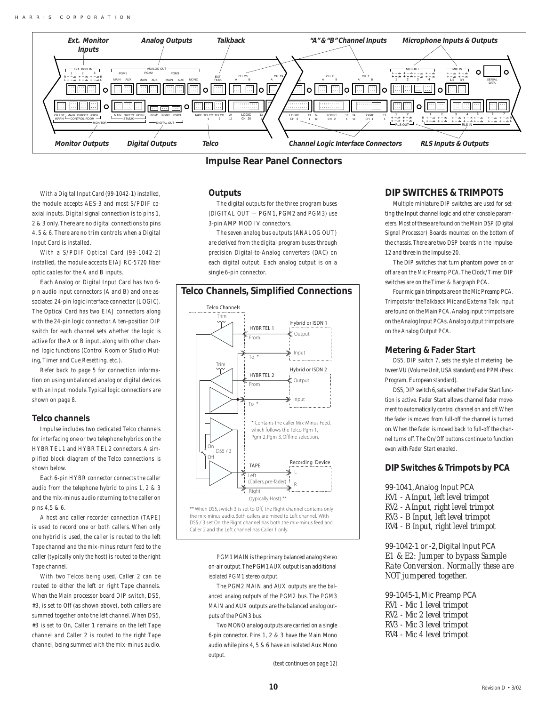

**Impulse Rear Panel Connectors**

With a Digital Input Card (99-1042-1) installed, the module accepts AES-3 and most S/PDIF coaxial inputs. Digital signal connection is to pins 1, 2 & 3 only. There are no digital connections to pins 4, 5 & 6. There are no trim controls when a Digital Input Card is installed.

With a S/PDIF Optical Card (99-1042-2) installed, the module accepts EIAJ RC-5720 fiber optic cables for the A and B inputs.

Each Analog or Digital Input Card has two 6 pin audio input connectors (A and B) and one associated 24-pin logic interface connector (LOGIC). The Optical Card has two EIAJ connectors along with the 24-pin logic connector. A ten-position DIP switch for each channel sets whether the logic is active for the A or B input, along with other channel logic functions (Control Room or Studio Muting, Timer and Cue Resetting, etc.).

Refer back to page 5 for connection information on using unbalanced analog or digital devices with an Input module. Typical logic connections are shown on page 8.

#### **Telco channels**

Impulse includes two dedicated Telco channels for interfacing one or two telephone hybrids on the HYBR TEL1 and HYBR TEL2 connectors. A simplified block diagram of the Telco connections is shown below.

Each 6-pin HYBR connector connects the caller audio from the telephone hybrid to pins 1, 2 & 3 and the mix-minus audio returning to the caller on pins 4,5 & 6.

A host and caller recorder connection (TAPE) is used to record one or both callers. When only one hybrid is used, the caller is routed to the left Tape channel and the mix-minus return feed to the caller (typically only the host) is routed to the right Tape channel.

With two Telcos being used, Caller 2 can be routed to either the left or right Tape channels. When the Main processor board DIP switch, DS5, #3, is set to Off (as shown above), both callers are summed together onto the left channel. When DS5, #3 is set to On, Caller 1 remains on the left Tape channel and Caller 2 is routed to the right Tape channel, being summed with the mix-minus audio.

#### **Outputs**

The digital outputs for the three program buses (DIGITAL OUT — PGM1, PGM2 and PGM3) use 3-pin AMP MOD IV connectors.

The seven analog bus outputs (ANALOG OUT) are derived from the digital program buses through precision Digital-to-Analog converters (DAC) on each digital output. Each analog output is on a single 6-pin connector.

#### **Telco Channels, Simplified Connections**



\*\* When DS5, switch 3, is set to Off, the Right channel contains only the mix-minus audio.Both callers are mixed to Left channel. With DS5 / 3 set On, the Right channel has both the mix-minus feed and Caller 2 and the Left channel has Caller 1 only.

> PGM1 MAIN is the primary balanced analog stereo on-air output. The PGM1 AUX output is an additional isolated PGM1 stereo output.

> The PGM2 MAIN and AUX outputs are the balanced analog outputs of the PGM2 bus. The PGM3 MAIN and AUX outputs are the balanced analog outputs of the PGM3 bus.

Two MONO analog outputs are carried on a single 6-pin connector. Pins 1, 2 & 3 have the Main Mono audio while pins 4, 5 & 6 have an isolated Aux Mono output.

(text continues on page 12)

#### **DIP SWITCHES & TRIMPOTS**

Multiple miniature DIP switches are used for setting the Input channel logic and other console parameters. Most of these are found on the Main DSP (Digital Signal Processor) Boards mounted on the bottom of the chassis. There are two DSP boards in the Impulse-12 and three in the Impulse-20.

The DIP switches that turn phantom power on or off are on the Mic Preamp PCA. The Clock/Timer DIP switches are on the Timer & Bargraph PCA.

Four mic gain trimpots are on the Mic Preamp PCA. Trimpots for the Talkback Mic and External Talk Input are found on the Main PCA. Analog input trimpots are on the Analog Input PCAs. Analog output trimpots are on the Analog Output PCA.

#### **Metering & Fader Start**

DS5, DIP switch 7, sets the style of metering between VU (Volume Unit, USA standard) and PPM (Peak Program, European standard).

DS5, DIP switch 6, sets whether the Fader Start function is active. Fader Start allows channel fader movement to automatically control channel on and off. When the fader is moved from full-off the channel is turned on. When the fader is moved back to full-off the channel turns off. The On/Off buttons continue to function even with Fader Start enabled.

#### **DIP Switches & Trimpots by PCA**

99-1041, Analog Input PCA *RV1 - A Input, left level trimpot RV2 - A Input, right level trimpot RV3 - B Input, left level trimpot RV4 - B Input, right level trimpot*

99-1042-1 or -2, Digital Input PCA *E1 & E2: Jumper to bypass Sample Rate Conversion. Normally these are NOT jumpered together.*

99-1045-1, Mic Preamp PCA *RV1 - Mic 1 level trimpot RV2 - Mic 2 level trimpot RV3 - Mic 3 level trimpot RV4 - Mic 4 level trimpot*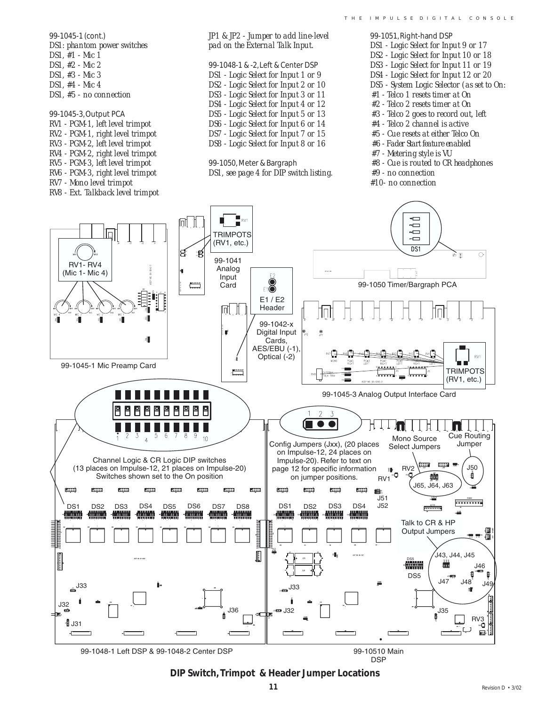*DS1: phantom power switches pad on the External Talk Input. DS1 - Logic Select for Input 9 or 17 DS1, #1 - Mic 1 DS2 - Logic Select for Input 10 or 18 DS1, #2 - Mic 2* 99-1048-1 & -2, Left & Center DSP *DS3 - Logic Select for Input 11 or 19 DS1, #3 - Mic 3 DS1 - Logic Select for Input 1 or 9 DS4 - Logic Select for Input 12 or 20 DS1, #4 - Mic 4 DS2 - Logic Select for Input 2 or 10 DS5 - System Logic Selector (as set to On: #1 - Telco 1 resets timer at On DS1, #5 - no connection DS3 - Logic Select for Input 3 or 11 DS4 - Logic Select for Input 4 or 12 #2 - Telco 2 resets timer at On #3 - Telco 2 goes to record out, left* 99-1045-3, Output PCA *DS5 - Logic Select for Input 5 or 13 RV1 - PGM-1, left level trimpot DS6 - Logic Select for Input 6 or 14 #4 - Telco 2 channel is active RV2 - PGM-1, right level trimpot DS7 - Logic Select for Input 7 or 15 #5 - Cue resets at either Telco On RV3 - PGM-2, left level trimpot DS8 - Logic Select for Input 8 or 16 #6 - Fader Start feature enabled RV4 - PGM-2, right level trimpot #7 - Metering style is VU RV5 - PGM-3, left level trimpot* 99-1050, Meter & Bargraph *#8 - Cue is routed to CR headphones RV6 - PGM-3, right level trimpot DS1, see page 4 for DIP switch listing. #9 - no connection RV7 - Mono level trimpot #10- no connectionRV8 - Ext. Talkback level trimpot* ← RV<sup>-</sup> IQIL JL  $\overline{\phantom{0}}$  $\sim$ TRIMPOTS  $\Box$  $(RV1, etc.)$  $\overline{D}$ s1 3 Æ  $\overline{\circ}$ òπ 99-1041 **RV1-RV4** Analog (Mic 1- Mic 4) **Input** Card E1Õ 99-1050 Timer/Bargraph PCA E1/E2 Header lgit , jt 99-1042-x ir Digital Input ۰ Cards, AES/EBU (-1)  $RV1$ Optical (-2) 99-1045-1 Mic Preamp Card  $\begin{array}{c} \textcolor{red}{\textbf{10000}} \textcolor{red}{\textbf{11}} \textcolor{red}{\textbf{12}} \textcolor{red}{\textbf{13}} \textcolor{red}{\textbf{14}} \textcolor{red}{\textbf{15}} \textcolor{red}{\textbf{16}} \textcolor{red}{\textbf{16}} \textcolor{red}{\textbf{17}} \textcolor{red}{\textbf{18}} \textcolor{red}{\textbf{19}} \textcolor{red}{\textbf{19}} \textcolor{red}{\textbf{19}} \textcolor{red}{\textbf{19}} \textcolor{red}{\textbf{19}} \textcolor{red}{\textbf{19}} \text$ TRIMPOTS  $(RV1, etc.)$ 99-1045-3 Analog Output Interface Card  $\overline{2}$  $\mathcal{I}$ ſ  $\bullet$  $11R$  $\overline{6}$  $\overline{7}$  $\overline{8}$  $\overline{9}$  $\overline{2}$  $\overline{3}$ 5 **Cue Routing**  $10<sup>10</sup>$ Mono Source Cue Routil<br>Select Jumpers Jumper  $\overline{A}$ Config Jumpers (Jxx), (20 places Select Jumpers on Impulse-12, 24 places on Channel Logic & CR Logic DIP switches Impulse-20). Refer to text on tiya nya (13 places on Impulse-12, 21 places on Impulse-20) J50 RV<sub>2</sub> page 12 for specific information 疆 ۵n Switches shown set to the On position on jumper positions. 黐  $RV<sup>2</sup>$ J65, J64, J63 **EIII RIII FIII EIII** gia. E **RIII** EW EW rm  $J51$ ......... J52 DS1 DS2 DS3 DS4 DS5 DS6 DS7 DS8 || DS1 DS2 DS3 DS4 **<del>.......</del> Milliana** Talk to CR & HP Output Jumpers !∭<br>, נת י<del>ד</del> יד l ,<br>J43, J44, J45 DS5 l J46 DS<sub>5</sub>  $.14"$  $J48$   $J49$  $4^{J33}$ .I33 J32  $136$ 132  $.135$ = ±‼⊱ **RV3**  $\frac{1}{3}$  J31

*JP1 & JP2 - Jumper to add line-level*

99-1048-1 Left DSP & 99-1048-2 Center DSP

99-1045-1 (cont.)

99-10510 Main DSP

#### **DIP Switch, Trimpot & Header Jumper Locations**

99-1051, Right-hand DSP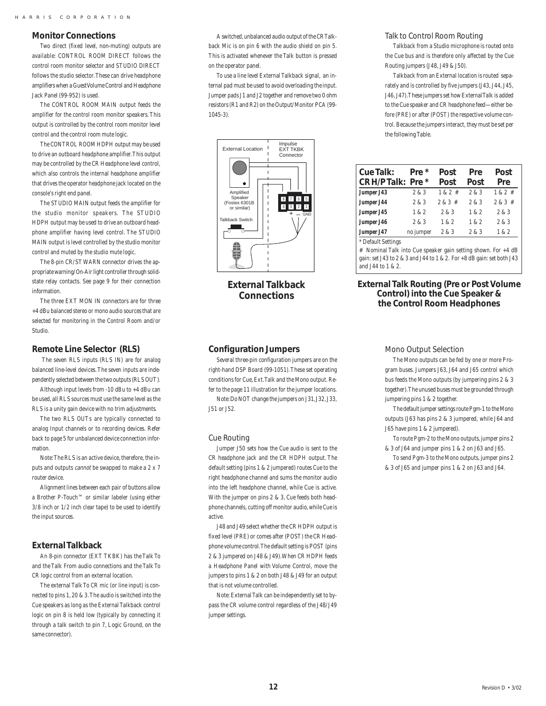#### **Monitor Connections**

Two direct (fixed level, non-muting) outputs are available: CONTROL ROOM DIRECT follows the control room monitor selector and STUDIO DIRECT follows the studio selector. These can drive headphone amplifiers when a Guest Volume Control and Headphone Jack Panel (99-952) is used.

The CONTROL ROOM MAIN output feeds the amplifier for the control room monitor speakers. This output is controlled by the control room monitor level control and the control room mute logic.

The CONTROL ROOM HDPH output may be used to drive an outboard headphone amplifier. This output may be controlled by the CR Headphone level control, which also controls the internal headphone amplifier that drives the operator headphone jack located on the console's right end panel.

The STUDIO MAIN output feeds the amplifier for the studio monitor speakers. The STUDIO HDPH output may be used to drive an outboard headphone amplifier having level control. The STUDIO MAIN output is level controlled by the studio monitor control and muted by the studio mute logic.

The 8-pin CR/ST WARN connector drives the appropriate warning/On-Air light controller through solidstate relay contacts. See page 9 for their connection information.

The three EXT MON IN connectors are for three +4 dBu balanced stereo or mono audio sources that are selected for monitoring in the Control Room and/or Studio.

#### **Remote Line Selector (RLS)**

 The seven RLS inputs (RLS IN) are for analog balanced line-level devices. The seven inputs are independently selected between the two outputs (RLS OUT).

Although input levels from -10 dBu to +4 dBu can be used, all RLS sources must use the same level as the RLS is a unity gain device with no trim adjustments.

The two RLS OUTs are typically connected to analog Input channels or to recording devices. Refer back to page 5 for unbalanced device connection information.

Note: The RLS is an active device, therefore, the inputs and outputs cannot be swapped to make a 2 x 7 router device.

Alignment lines between each pair of buttons allow a Brother P-Touch™ or similar labeler (using either 3/8 inch or 1/2 inch clear tape) to be used to identify the input sources.

#### **External Talkback**

An 8-pin connector (EXT TKBK) has the Talk To and the Talk From audio connections and the Talk To CR logic control from an external location.

The external Talk To CR mic (or line input) is connected to pins 1, 20 & 3. The audio is switched into the Cue speakers as long as the External Talkback control logic on pin 8 is held low (typically by connecting it through a talk switch to pin 7, Logic Ground, on the same connector).

A switched, unbalanced audio output of the CR Talkback Mic is on pin 6 with the audio shield on pin 5. This is activated whenever the Talk button is pressed on the operator panel.

To use a line level External Talkback signal, an internal pad must be used to avoid overloading the input. Jumper pads J1 and J2 together and remove two 0 ohm resistors (R1 and R2) on the Output/Monitor PCA (99- 1045-3).



**External Talkback Connections**

#### **Configuration Jumpers**

Several three-pin configuration jumpers are on the right-hand DSP Board (99-1051). These set operating conditions for Cue, Ext. Talk and the Mono output. Refer to the page 11 illustration for the jumper locations. Note: Do NOT change the jumpers on J31, J32, J33,

J51 or J52.

#### Cue Routing

Jumper J50 sets how the Cue audio is sent to the CR headphone jack and the CR HDPH output. The default setting (pins 1 & 2 jumpered) routes Cue to the right headphone channel and sums the monitor audio into the left headphone channel, while Cue is active. With the jumper on pins 2 & 3, Cue feeds both headphone channels, cutting off monitor audio, while Cue is active.

J48 and J49 select whether the CR HDPH output is fixed level (PRE) or comes after (POST) the CR Headphone volume control. The default setting is POST (pins 2 & 3 jumpered on J48 & J49). When CR HDPH feeds a Headphone Panel with Volume Control, move the jumpers to pins 1 & 2 on both J48 & J49 for an output that is not volume controlled.

Note: External Talk can be independently set to bypass the CR volume control regardless of the J48/J49 jumper settings.

#### Talk to Control Room Routing

Talkback from a Studio microphone is routed onto the Cue bus and is therefore only affected by the Cue Routing jumpers (J48, J49 & J50).

Talkback from an External location is routed separately and is controlled by five jumpers (J43, J44, J45, J46, J47). These jumpers set how External Talk is added to the Cue speaker and CR headphone feed—either before (PRE) or after (POST) the respective volume control. Because the jumpers interact, they must be set per the following Table.

| Cue Talk:                              | Pre *     | Post        | Pre   | Post        |
|----------------------------------------|-----------|-------------|-------|-------------|
| CR H/P Talk: Pre *                     |           | Post        | Post  | Pre         |
| Jumper J43                             | 2 & 3     | $1 & 2 * 1$ | 2 & 3 | $1 & 2 * 1$ |
| Jumper J44                             | 2 & 3     | $2 & 3 \#$  | 2 & 3 | $2 & 3 *$   |
| Jumper J45                             | 1 & 2     | 2 & 3       | 1 & 2 | 2 & 3       |
| Jumper J46                             | 2 & 3     | 1 & 2       | 1 & 2 | 2 & 3       |
| Jumper J47                             | no jumper | 2 & 3       | 2 & 3 | 1 & 2       |
| $+$ $\sim$ $\sim$ $\sim$ $\sim$ $\sim$ |           |             |       |             |

Default Settings

# Nominal Talk into Cue speaker gain setting shown. For +4 dB gain: set J43 to 2 & 3 and J44 to 1 & 2. For +8 dB gain: set both J43 and J44 to 1 & 2.

#### **External Talk Routing (Pre or Post Volume Control) into the Cue Speaker & the Control Room Headphones**

#### Mono Output Selection

The Mono outputs can be fed by one or more Program buses. Jumpers J63, J64 and J65 control which bus feeds the Mono outputs (by jumpering pins 2 & 3 together). The unused buses must be grounded through jumpering pins 1 & 2 together.

The default jumper settings route Pgm-1 to the Mono outputs (J63 has pins 2 & 3 jumpered, while J64 and J65 have pins 1 & 2 jumpered).

To route Pgm-2 to the Mono outputs, jumper pins 2 & 3 of J64 and jumper pins 1 & 2 on J63 and J65.

To send Pgm-3 to the Mono outputs, jumper pins 2 & 3 of J65 and jumper pins 1 & 2 on J63 and J64.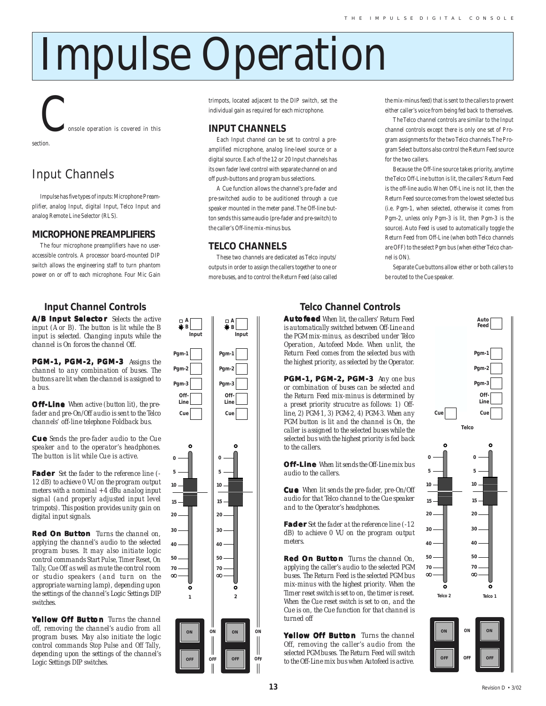# Impulse Operation

onsole operation is covered in this

section.

# Input Channels

Impulse has five types of inputs: Microphone Preamplifier, analog Input, digital Input, Telco Input and analog Remote Line Selector (RLS).

#### **MICROPHONE PREAMPLIFIERS**

The four microphone preamplifiers have no useraccessible controls. A processor board-mounted DIP switch allows the engineering staff to turn phantom power on or off to each microphone. Four Mic Gain

### **Input Channel Controls**

**A/B Input Selector** Selects the active *input (A or B). The button is lit while the B input is selected. Changing inputs while the channel is On forces the channel Off.*

**PGM-1, PGM-2, PGM-3** *Assigns the channel to any combination of buses. The buttons are lit when the channel is assigned to a bus.*

**Off-Line** *When active (button lit), the prefader and pre-On/Off audio is sent to the Telco channels' off-line telephone Foldback bus.*

**Cu e** *Sends the pre-fader audio to the Cue speaker and to the operator's headphones. The button is lit while Cue is active.*

**Fader** *Set the fader to the reference line (- 12 dB) to achieve 0 VU on the program output meters with a nominal +4 dBu analog input signal (and properly adjusted input level trimpots). This position provides unity gain on digital input signals.*

**Red On Button** *Turns the channel on, applying the channel's audio to the selected program buses. It may also initiate logic control commands* Start Pulse, Timer Reset, On Tally, Cue Off *as well as mute the control room or studio speakers (and turn on the appropriate warning lamp), depending upon the settings of the channel's Logic Settings DIP switches.*

**Yellow Off Button** *Turns the channel off, removing the channel's audio from all program buses. May also initiate the logic control commands* Stop Pulse *and* Off Tally*, depending upon the settings of the channel's Logic Settings DIP switches.*

trimpots, located adjacent to the DIP switch, set the individual gain as required for each microphone.

#### **INPUT CHANNELS**

Each Input channel can be set to control a preamplified microphone, analog line-level source or a digital source. Each of the 12 or 20 Input channels has its own fader level control with separate channel on and off push-buttons and program bus selections.

A Cue function allows the channel's pre-fader and pre-switched audio to be auditioned through a cue speaker mounted in the meter panel. The Off-line button sends this same audio (pre-fader and pre-switch) to the caller's Off-line mix-minus bus.

#### **TELCO CHANNELS**

*Input A B*

Pam-*Pgm-2 Pgm-3 Off-Line Cue*

*Input A B*

*Pgm-1 Pgm-2 Pgm-3 Off-Line Cue*

*5 0*

*10*

 $\infty$ 

*ON*

 $\bullet$ 

*OFF*

These two channels are dedicated as Telco inputs/ outputs in order to assign the callers together to one or more buses, and to control the Return Feed (also called the mix-minus feed) that is sent to the callers to prevent either caller's voice from being fed back to themselves.

The Telco channel controls are similar to the Input channel controls except there is only one set of Program assignments for the two Telco channels. The Program Select buttons also control the Return Feed source for the two callers.

Because the Off-line source takes priority, anytime the Telco Off-Line button is lit, the callers' Return Feed is the off-line audio. When Off-Line is not lit, then the Return Feed source comes from the lowest selected bus (i.e. Pgm-1, when selected, otherwise it comes from Pgm-2, unless only Pgm-3 is lit, then Pgm-3 is the source). Auto Feed is used to automatically toggle the Return Feed from Off-Line (when both Telco channels are OFF) to the select Pgm bus (when either Telco channel is ON).

Separate Cue buttons allow either or both callers to be routed to the Cue speaker.

#### **Au to feed** *When lit, the callers' Return Feed* **Telco Channel Controls**

*is automatically switched between Off-Line and the PGM mix-minus, as described under Telco Operation, Autofeed Mode. When unlit, the Return Feed comes from the selected bus with the highest priority, as selected by the Operator.*

**PGM-1, PGM-2, PGM-3** *Any one bus or combination of buses can be selected and the Return Feed mix-minus is determined by a preset priority strucutre as follows: 1) Offline, 2) PGM-1, 3) PGM-2, 4) PGM-3. When any PGM button is lit and the channel is On, the caller is assigned to the selected buses while the selected bus with the highest priority is fed back to the callers.*

**Off-Line** *When lit sends the Off-Line mix bus audio to the callers.*

**Cu e** *When lit sends the pre-fader, pre-On/Off audio for that Telco channel to the Cue speaker and to the Operator's headphones.*

**Fader** *Set the fader at the reference line (-12 dB) to achieve 0 VU on the program output meters.*

**Red On Button** *Turns the channel On, applying the caller's audio to the selected PGM buses. The Return Feed is the selected PGM bus mix-minus with the highest priority. When the Timer reset switch is set to on, the timer is reset. When the Cue reset switch is set to on, and the Cue is on, the Cue function for that channel is turned off*

**Yellow Off Button** *Turns the channel Off, removing the caller's audio from the selected PGM buses. The Return Feed will switch to the Off-Line mix bus when Autofeed is active.*



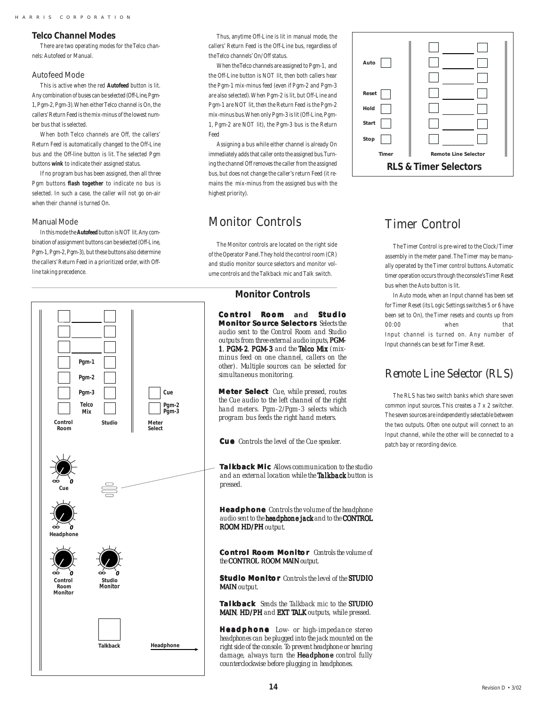#### **Telco Channel Modes**

There are two operating modes for the Telco channels: Autofeed or Manual.

#### Autofeed Mode

This is active when the red **Autofeed** button is lit. Any combination of buses can be selected (Off-Line, Pgm-1, Pgm-2, Pgm-3). When either Telco channel is On, the callers' Return Feed is the mix-minus of the lowest number bus that is selected.

When both Telco channels are Off, the callers' Return Feed is automatically changed to the Off-Line bus and the Off-line button is lit. The selected Pgm buttons **wink** to indicate their assigned status.

If no program bus has been assigned, then all three Pgm buttons **flash together** to indicate no bus is selected. In such a case, the caller will not go on-air when their channel is turned On.

#### Manual Mode

In this mode the **Autofeed** button is NOT lit. Any combination of assignment buttons can be selected (Off-Line, Pgm-1, Pgm-2, Pgm-3), but these buttons also determine the callers' Return Feed in a prioritized order, with Offline taking precedence.



Thus, anytime Off-Line is lit in manual mode, the callers' Return Feed is the Off-Line bus, regardless of the Telco channels' On/Off status.

When the Telco channels are assigned to Pgm-1, and the Off-Line button is NOT lit, then both callers hear the Pgm-1 mix-minus feed (even if Pgm-2 and Pgm-3 are also selected). When Pgm-2 is lit, but Off-Line and Pgm-1 are NOT lit, then the Return Feed is the Pgm-2 mix-minus bus. When only Pgm-3 is lit (Off-Line, Pgm-1, Pgm-2 are NOT lit), the Pgm-3 bus is the Return Feed

Assigning a bus while either channel is already On immediately adds that caller onto the assigned bus. Turning the channel Off removes the caller from the assigned bus, but does not change the caller's return Feed (it remains the mix-minus from the assigned bus with the highest priority).

### Monitor Controls

The Monitor controls are located on the right side of the Operator Panel. They hold the control room (CR) and studio monitor source selectors and monitor volume controls and the Talkback mic and Talk switch.

#### **Monitor Controls**

**Co nt rol Room and Studio Monitor Source Selectors** *Selects the audio sent to the Control Room and Studio outputs from three external audio inputs, PGM-*1, PGM-2, PGM-3 and the Telco Mix (mix*minus feed on one channel, callers on the other). Multiple sources can be selected for simultaneous monitoring.*

**Me ter Select** *Cue, while pressed, routes the Cue audio to the left channel of the right hand meters. Pgm-2/Pgm-3 selects which program bus feeds the right hand meters.*

**Cue** Controls the level of the Cue speaker. patch bay or recording device.

**Talkback Mic** *Allows communication to the studio and an external location while the Talkback button is pressed.*

**Headphone** *Controls the volume of the headphone audio sent to the headphone jack headphone jack and to the CONTROL ROOM HD/PH output.* 

**Co nt rol Room Monito r** *Controls the volume of the CONTROL ROOM MAIN CONTROL ROOM MAIN output.*

**Studio Monito r** *Controls the level of the STUDIO MAINoutput.*

**Talkback** *Sends the Talkback mic to the STUDIO MAIN, HD/PH and EXT TALK outputs, while pressed.* 

**Headphone** *Low- or high-impedance stereo headphones can be plugged into the jack mounted on the right side of the console. To prevent headphone or hearing damage, always turn the Headphone control fully counterclockwise before plugging in headphones.*



## Timer Control

The Timer Control is pre-wired to the Clock/Timer assembly in the meter panel. The Timer may be manually operated by the Timer control buttons. Automatic timer operation occurs through the console's Timer Reset bus when the Auto button is lit.

In Auto mode, when an Input channel has been set for Timer Reset (its Logic Settings switches 5 or 6 have been set to On), the Timer resets and counts up from 00:00 when that Input channel is turned on. Any number of Input channels can be set for Timer Reset.

### Remote Line Selector (RLS)

The RLS has two switch banks which share seven common input sources. This creates a 7 x 2 switcher. The seven sources are independently selectable between the two outputs. Often one output will connect to an Input channel, while the other will be connected to a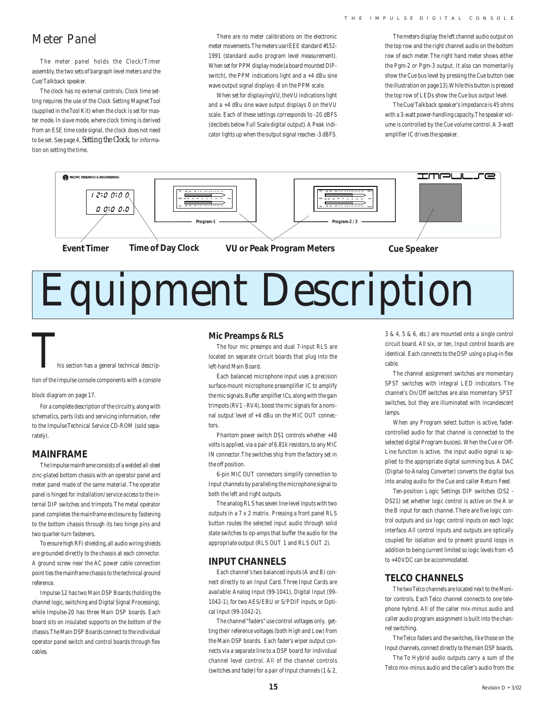### Meter Panel

The meter panel holds the Clock/Timer assembly, the two sets of bargraph level meters and the Cue/Talkback speaker.

The clock has no external controls. Clock time setting requires the use of the Clock Setting Magnet Tool (supplied in the Tool Kit) when the clock is set for master mode. In slave mode, where clock timing is derived from an ESE time code signal, the clock does not need to be set. See page 4, *Setting the Clock*, for information on setting the time.

There are no meter calibrations on the electronic meter movements. The meters use IEEE standard #152- 1991 (standard audio program level measurement). When set for PPM display mode (a board mounted DIPswitch), the PPM indications light and  $a + 4$  dBu sine wave output signal displays -8 on the PPM scale.

When set for displaying VU, the VU indications light and a +4 dBu sine wave output displays 0 on the VU scale. Each of these settings corresponds to -20 dBFS (decibels below Full Scale digital output). A Peak indicator lights up when the output signal reaches -3 dBFS.

The meters display the left channel audio output on the top row and the right channel audio on the bottom row of each meter. The right hand meter shows either the Pgm-2 or Pgm-3 output. It also can momentarily show the Cue bus level by pressing the Cue button (see the illustration on page 13). While this button is pressed the top row of LEDs show the Cue bus output level.

The Cue/Talkback speaker's impedance is 45 ohms with a 3-watt power-handling capacity. The speaker volume is controlled by the Cue volume control. A 3-watt amplifier IC drives the speaker.



# Equipment Description

his section has a general technical descrip-

tion of the Impulse console components with a console

block diagram on page 17.

For a complete description of the circuitry, along with schematics, parts lists and servicing information, refer to the Impulse Technical Service CD-ROM (sold separately).

#### **MAINFRAME**

The Impulse mainframe consists of a welded all-steel zinc-plated bottom chassis with an operator panel and meter panel made of the same material. The operator panel is hinged for installation/service access to the internal DIP switches and trimpots. The metal operator panel completes the mainframe enclosure by fastening to the bottom chassis through its two hinge pins and two quarter-turn fasteners.

To ensure high RFI shielding, all audio wiring shields are grounded directly to the chassis at each connector. A ground screw near the AC power cable connection point ties the mainframe chassis to the technical ground reference.

Impulse-12 has two Main DSP Boards (holding the channel logic, switching and Digital Signal Processing), while Impulse-20 has three Main DSP boards. Each board sits on insulated supports on the bottom of the chassis. The Main DSP Boards connect to the individual operator panel switch and control boards through flex cables.

#### **Mic Preamps & RLS**

The four mic preamps and dual 7-input RLS are located on separate circuit boards that plug into the left-hand Main Board.

Each balanced microphone input uses a precision surface-mount microphone preamplifier IC to amplify the mic signals. Buffer amplifier ICs, along with the gain trimpots (RV1 - RV4), boost the mic signals for a nominal output level of +4 dBu on the MIC OUT connectors.

Phantom power switch DS1 controls whether +48 volts is applied, via a pair of 6.81k resistors, to any MIC IN connector. The switches ship from the factory set in the off position.

6-pin MIC OUT connectors simplify connection to Input channels by paralleling the microphone signal to both the left and right outputs.

The analog RLS has seven line-level inputs with two outputs in a 7 x 2 matrix. Pressing a front panel RLS button routes the selected input audio through solid state switches to op-amps that buffer the audio for the appropriate output (RLS OUT 1 and RLS OUT 2).

#### **INPUT CHANNELS**

Each channel's two balanced inputs (A and B) connect directly to an Input Card. Three Input Cards are available: Analog Input (99-1041), Digital Input (99- 1042-1), for two AES/EBU or S/PDIF inputs, or Optical Input (99-1042-2).

The channel "faders" use control voltages only, getting their reference voltages (both High and Low) from the Main DSP boards. Each fader's wiper output connects via a separate line to a DSP board for individual channel level control. All of the channel controls (switches and fader) for a pair of Input channels (1 & 2,

3 & 4, 5 & 6, etc.) are mounted onto a single control circuit board. All six, or ten, Input control boards are identical. Each connects to the DSP using a plug-in flex cable.

The channel assignment switches are momentary SPST switches with integral LED indicators. The channel's On/Off switches are also momentary SPST switches, but they are illuminated with incandescent lamps

When any Program select button is active, fadercontrolled audio for that channel is connected to the selected digital Program bus(es). When the Cue or Off-Line function is active, the input audio signal is applied to the appropriate digital summing bus. A DAC (Digital-to-Analog Converter) converts the digital bus into analog audio for the Cue and caller Return Feed.

Ten-position Logic Settings DIP switches (DS2 - DS21) set whether logic control is active on the A or the B input for each channel. There are five logic control outputs and six logic control inputs on each logic interface. All control inputs and outputs are optically coupled for isolation and to prevent ground loops in addition to being current limited so logic levels from +5 to +40 VDC can be accommodated.

#### **TELCO CHANNELS**

The two Telco channels are located next to the Monitor controls. Each Telco channel connects to one telephone hybrid. All of the caller mix-minus audio and caller audio program assignment is built into the channel switching.

The Telco faders and the switches, like those on the Input channels, connect directly to the main DSP boards.

The To Hybrid audio outputs carry a sum of the Telco mix-minus audio and the caller's audio from the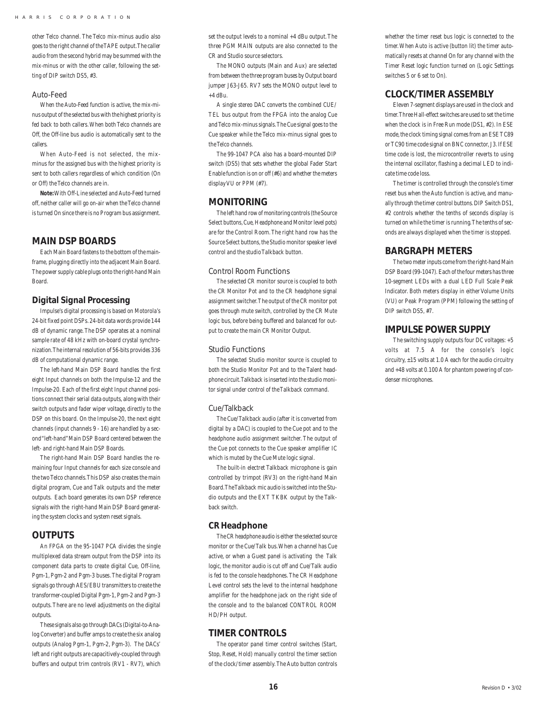other Telco channel. The Telco mix-minus audio also goes to the right channel of the TAPE output. The caller audio from the second hybrid may be summed with the mix-minus or with the other caller, following the setting of DIP switch DS5, #3.

#### Auto-Feed

When the Auto-Feed function is active, the mix-minus output of the selected bus with the highest priority is fed back to both callers. When both Telco channels are Off, the Off-line bus audio is automatically sent to the callers.

When Auto-Feed is not selected, the mixminus for the assigned bus with the highest priority is sent to both callers regardless of which condition (On or Off) the Telco channels are in.

**Note:** With Off-Line selected and Auto-Feed turned off, neither caller will go on-air when the Telco channel is turned On since there is no Program bus assignment.

#### **MAIN DSP BOARDS**

Each Main Board fastens to the bottom of the mainframe, plugging directly into the adjacent Main Board. The power supply cable plugs onto the right-hand Main Board.

#### **Digital Signal Processing**

Impulse's digital processing is based on Motorola's 24-bit fixed point DSPs. 24-bit data words provide 144 dB of dynamic range. The DSP operates at a nominal sample rate of 48 kHz with on-board crystal synchronization. The internal resolution of 56-bits provides 336 dB of computational dynamic range.

The left-hand Main DSP Board handles the first eight Input channels on both the Impulse-12 and the Impulse-20. Each of the first eight Input channel positions connect their serial data outputs, along with their switch outputs and fader wiper voltage, directly to the DSP on this board. On the Impulse-20, the next eight channels (input channels 9 - 16) are handled by a second "left-hand" Main DSP Board centered between the left- and right-hand Main DSP Boards.

The right-hand Main DSP Board handles the remaining four Input channels for each size console and the two Telco channels. This DSP also creates the main digital program, Cue and Talk outputs and the meter outputs. Each board generates its own DSP reference signals with the right-hand Main DSP Board generating the system clocks and system reset signals.

#### **OUTPUTS**

An FPGA on the 95-1047 PCA divides the single multiplexed data stream output from the DSP into its component data parts to create digital Cue, Off-line, Pgm-1, Pgm-2 and Pgm-3 buses. The digital Program signals go through AES/EBU transmitters to create the transformer-coupled Digital Pgm-1, Pgm-2 and Pgm-3 outputs. There are no level adjustments on the digital outputs.

These signals also go through DACs (Digital-to-Analog Converter) and buffer amps to create the six analog outputs (Analog Pgm-1, Pgm-2, Pgm-3). The DACs' left and right outputs are capacitively-coupled through buffers and output trim controls (RV1 - RV7), which

set the output levels to a nominal +4 dBu output. The three PGM MAIN outputs are also connected to the CR and Studio source selectors.

The MONO outputs (Main and Aux) are selected from between the three program buses by Output board jumper J63-J65. RV7 sets the MONO output level to  $+4$  dBu.

A single stereo DAC converts the combined CUE/ TEL bus output from the FPGA into the analog Cue and Telco mix-minus signals. The Cue signal goes to the Cue speaker while the Telco mix-minus signal goes to the Telco channels.

The 99-1047 PCA also has a board-mounted DIP switch (DS5) that sets whether the global Fader Start Enable function is on or off (#6) and whether the meters display VU or PPM (#7).

#### **MONITORING**

The left hand row of monitoring controls (the Source Select buttons, Cue, Headphone and Monitor level pots) are for the Control Room. The right hand row has the Source Select buttons, the Studio monitor speaker level control and the studio Talkback button.

#### Control Room Functions

The selected CR monitor source is coupled to both the CR Monitor Pot and to the CR headphone signal assignment switcher. The output of the CR monitor pot goes through mute switch, controlled by the CR Mute logic bus, before being buffered and balanced for output to create the main CR Monitor Output.

#### Studio Functions

The selected Studio monitor source is coupled to both the Studio Monitor Pot and to the Talent headphone circuit. Talkback is inserted into the studio monitor signal under control of the Talkback command.

#### Cue/Talkback

The Cue/Talkback audio (after it is converted from digital by a DAC) is coupled to the Cue pot and to the headphone audio assignment switcher. The output of the Cue pot connects to the Cue speaker amplifier IC which is muted by the Cue Mute logic signal.

The built-in electret Talkback microphone is gain controlled by trimpot (RV3) on the right-hand Main Board. The Talkback mic audio is switched into the Studio outputs and the EXT TKBK output by the Talkback switch.

#### **CR Headphone**

The CR headphone audio is either the selected source monitor or the Cue/Talk bus. When a channel has Cue active, or when a Guest panel is activating the Talk logic, the monitor audio is cut off and Cue/Talk audio is fed to the console headphones. The CR Headphone Level control sets the level to the internal headphone amplifier for the headphone jack on the right side of the console and to the balanced CONTROL ROOM HD/PH output.

#### **TIMER CONTROLS**

The operator panel timer control switches (Start, Stop, Reset, Hold) manually control the timer section of the clock/timer assembly. The Auto button controls

whether the timer reset bus logic is connected to the timer. When Auto is active (button lit) the timer automatically resets at channel On for any channel with the Timer Reset logic function turned on (Logic Settings switches 5 or 6 set to On).

#### **CLOCK/TIMER ASSEMBLY**

Eleven 7-segment displays are used in the clock and timer. Three Hall-effect switches are used to set the time when the clock is in Free Run mode (DS1, #2). In ESE mode, the clock timing signal comes from an ESE TC89 or TC90 time code signal on BNC connector, J3. If ESE time code is lost, the microcontroller reverts to using the internal oscillator, flashing a decimal LED to indicate time code loss.

The timer is controlled through the console's timer reset bus when the Auto function is active, and manually through the timer control buttons. DIP Switch DS1, #2 controls whether the tenths of seconds display is turned on while the timer is running. The tenths of seconds are always displayed when the timer is stopped.

#### **BARGRAPH METERS**

The two meter inputs come from the right-hand Main DSP Board (99-1047). Each of the four meters has three 10-segment LEDs with a dual LED Full Scale Peak Indicator. Both meters display in either Volume Units (VU) or Peak Program (PPM) following the setting of DIP switch DS5, #7.

#### **IMPULSE POWER SUPPLY**

The switching supply outputs four DC voltages: +5 volts at 7.5 A for the console's logic circuitry, ±15 volts at 1.0 A each for the audio circuitry and +48 volts at 0.100 A for phantom powering of condenser microphones.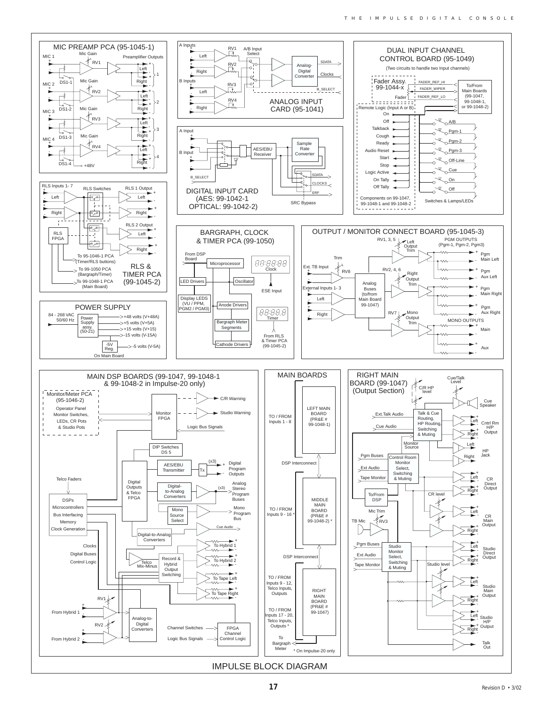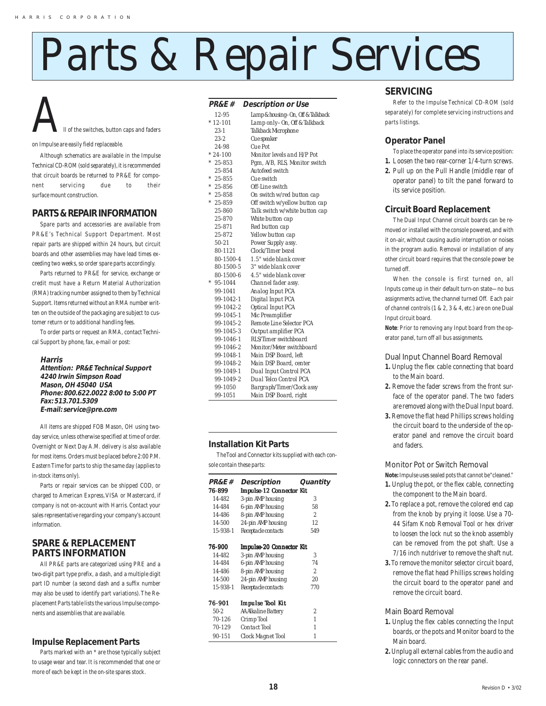# Parts & Repair Services

# All of the switches, button caps and faders

on Impulse are easily field replaceable.

Although schematics are available in the Impulse Technical CD-ROM (sold separately), it is recommended that circuit boards be returned to PR&E for component servicing due to their surface mount construction.

#### **PARTS & REPAIR INFORMATION**

Spare parts and accessories are available from PR&E's Technical Support Department. Most repair parts are shipped within 24 hours, but circuit boards and other assemblies may have lead times exceeding two weeks, so order spare parts accordingly.

Parts returned to PR&E for service, exchange or credit must have a Return Material Authorization (RMA) tracking number assigned to them by Technical Support. Items returned without an RMA number written on the outside of the packaging are subject to customer return or to additional handling fees.

To order parts or request an RMA, contact Technical Support by phone, fax, e-mail or post:

#### **Harris**

**Attention: PR&E Technical Support 4240 Irwin Simpson Road Mason, OH 45040 USA Phone: 800.622.0022 8:00 to 5:00 PT Fax: 513.701.5309 E-mail: service@pre.com**

All items are shipped FOB Mason, OH using twoday service, unless otherwise specified at time of order. Overnight or Next Day A.M. delivery is also available for most items. Orders must be placed before 2:00 P.M. Eastern Time for parts to ship the same day (applies to in-stock items only).

Parts or repair services can be shipped COD, or charged to American Express, VISA or Mastercard, if company is not on-account with Harris. Contact your sales representative regarding your company's account information.

#### **SPARE & REPLACEMENT PARTS INFORMATION**

All PR&E parts are categorized using PRE and a two-digit part type prefix, a dash, and a multiple digit part ID number (a second dash and a suffix number may also be used to identify part variations). The Replacement Parts table lists the various Impulse components and assemblies that are available.

#### **Impulse Replacement Parts**

Parts marked with an \* are those typically subject to usage wear and tear. It is recommended that one or more of each be kept in the on-site spares stock.

#### **PR&E # Description or Use**

| rnoxl 77         | Description or Ose                |
|------------------|-----------------------------------|
| 12-95            | Lamp & housing-On, Off & Talkback |
| $*12-101$        | Lamp only-On, Off & Talkback      |
| $23 - 1$         | Talkback Microphone               |
| $23 - 2$         | Cue speaker                       |
| 24-98            | Cue Pot                           |
| $*24-100$        | Monitor levels and H/P Pot        |
| $* 25 - 853$     | Pgm, A/B, RLS, Monitor switch     |
| 25-854           | Autofeed switch                   |
| $* 25 - 855$     | Cue switch                        |
| $* 25 - 856$     | Off-Line switch                   |
| $* 25 - 858$     | On switch w/red button cap        |
| $* 25 - 859$     | Off switch w/yellow button cap    |
| 25-860           | Talk switch w/white button cap    |
| 25-870           | White button cap                  |
| 25-871           | Red button cap                    |
| 25-872           | Yellow button cap                 |
| $50 - 21$        | Power Supply assy.                |
| $80 - 1121$      | Clock/Timer bezel                 |
| 80-1500-4        | 1.5" wide blank cover             |
| <i>80-1500-5</i> | 3" wide blank cover               |
| 80-1500-6        | 4.5" wide blank cover             |
| $95 - 1044$      | Channel fader assy.               |
| 99-1041          | Analog Input PCA                  |
| 99-1042-1        | Digital Input PCA                 |
| 99-1042-2        | Optical Input PCA                 |
| 99-1045-1        | Mic Preamplifier                  |
| 99-1045-2        | Remote Line Selector PCA          |
| 99-1045-3        | Output amplifier PCA              |
| $99 - 1046 - 1$  | RLS/Timer switchboard             |
| 99-1046-2        | Monitor/Meter switchboard         |
| 99-1048-1        | Main DSP Board, left              |
| 99-1048-2        | Main DSP Board, center            |
| 99-1049-1        | Dual Input Control PCA            |
| 99-1049-2        | Dual Telco Control PCA            |
| 99-1050          | Bargraph/Timer/Clock assy         |
| 99-1051          | Main DSP Board, right             |

#### **Installation Kit Parts**

The Tool and Connector kits supplied with each console contain these parts:

| <b>PR&amp;E</b> #    | Description                     | Quantity                 |  |  |
|----------------------|---------------------------------|--------------------------|--|--|
| 76-899               | <b>Impulse-12 Connector Kit</b> |                          |  |  |
| 14-482               | 3-pin AMP housing               | 3                        |  |  |
| 14-484               | 6-pin AMP housing               | 58                       |  |  |
| 14-486               | 8-pin AMP housing               | $\overline{\mathcal{L}}$ |  |  |
| 14-500               | 24-pin AMP housing              | 12                       |  |  |
| $1.5 - 9.38 - 1$     | Receptacle contacts             | 549                      |  |  |
| <i><b>76-900</b></i> | Impulse-20 Connector Kit        |                          |  |  |
| 14-482               | 3-pin AMP housing               | 3                        |  |  |
| 14-484               | 6-pin AMP housing               | 74                       |  |  |
| 14-486               | 8-pin AMP housing               | 2                        |  |  |
| 14-500               | 24-pin AMP housing              | 20                       |  |  |
| $1.5 - 9.38 - 1$     | Receptacle contacts             | 770                      |  |  |
| 76-901               | <b>Impulse Tool Kit</b>         |                          |  |  |
| $50-2$               | AA Alkaline Battery             | 2                        |  |  |
| 70-126               | Crimp Tool                      | $\mathcal I$             |  |  |
| 70-129               | Contact Tool                    | $\mathcal I$             |  |  |
| 90-151               | Clock Magnet Tool               | $\mathcal I$             |  |  |

#### **SERVICING**

Refer to the Impulse Technical CD-ROM (sold separately) for complete servicing instructions and parts listings.

#### **Operator Panel**

- To place the operator panel into its service position:
- **1.** Loosen the two rear-corner 1/4-turn screws.
- **2.** Pull up on the Pull Handle (middle rear of operator panel) to tilt the panel forward to its service position.

#### **Circuit Board Replacement**

The Dual Input Channel circuit boards can be removed or installed with the console powered, and with it on-air, without causing audio interruption or noises in the program audio. Removal or installation of any other circuit board requires that the console power be turned off.

When the console is first turned on, all Inputs come up in their default turn-on state—no bus assignments active, the channel turned Off. Each pair of channel controls (1 & 2, 3 & 4, etc.) are on one Dual Input circuit board.

**Note**: Prior to removing any Input board from the operator panel, turn off all bus assignments.

Dual Input Channel Board Removal

- **1.** Unplug the flex cable connecting that board to the Main board.
- **2.** Remove the fader screws from the front surface of the operator panel. The two faders are removed along with the Dual Input board.
- **3.** Remove the flat head Phillips screws holding the circuit board to the underside of the operator panel and remove the circuit board and faders.

#### Monitor Pot or Switch Removal

**Note:** Impulse uses sealed pots that cannot be "cleaned."

- **1.** Unplug the pot, or the flex cable, connecting the component to the Main board.
- **2.** To replace a pot, remove the colored end cap from the knob by prying it loose. Use a 70- 44 Sifam Knob Removal Tool or hex driver to loosen the lock nut so the knob assembly can be removed from the pot shaft. Use a 7/16 inch nutdriver to remove the shaft nut.
- **3.** To remove the monitor selector circuit board, remove the flat head Phillips screws holding the circuit board to the operator panel and remove the circuit board.

Main Board Removal

- **1.** Unplug the flex cables connecting the Input boards, or the pots and Monitor board to the Main board.
- **2.** Unplug all external cables from the audio and logic connectors on the rear panel.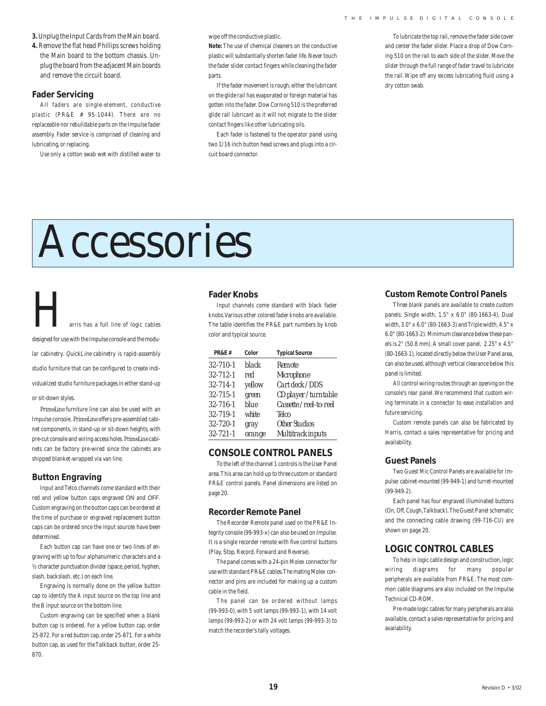- **3.** Unplug the Input Cards from the Main board.
- **4.** Remove the flat head Phillips screws holding the Main board to the bottom chassis. Unplug the board from the adjacent Main boards and remove the circuit board.

#### **Fader Servicing**

All faders are single-element, conductive plastic (PR&E # 95-1044). There are no replaceable nor rebuildable parts on the Impulse fader assembly. Fader service is comprised of cleaning and lubricating, or replacing.

Use only a cotton swab wet with distilled water to

wipe off the conductive plastic.

**Note:** The use of chemical cleaners on the conductive plastic will substantially shorten fader life. Never touch the fader slider contact fingers while cleaning the fader parts.

If the fader movement is rough, either the lubricant on the glide rail has evaporated or foreign material has gotten into the fader. Dow Corning 510 is the preferred glide rail lubricant as it will not migrate to the slider contact fingers like other lubricating oils.

Each fader is fastened to the operator panel using two 1/16 inch button head screws and plugs into a circuit board connector.

To lubricate the top rail, remove the fader side cover and center the fader slider. Place a drop of Dow Corning 510 on the rail to each side of the slider. Move the slider through the full range of fader travel to lubricate the rail. Wipe off any excess lubricating fluid using a dry cotton swab.

# Accessories

arris has a full line of logic cables designed for use with the Impulse console and the modular cabinetry. QuickLine cabinetry is rapid-assembly studio furniture that can be configured to create individualized studio furniture packages in either stand-up or sit-down styles.

*PrimeLine* furniture line can also be used with an Impulse console. *PrimeLine* offers pre-assembled cabinet components, in stand-up or sit-down heights, with pre-cut console and wiring access holes. *PrimeLine* cabinets can be factory pre-wired since the cabinets are shipped blanket-wrapped via van line.

#### **Button Engraving**

Input and Telco channels come standard with their red and yellow button caps engraved ON and OFF. Custom engraving on the button caps can be ordered at the time of purchase or engraved replacement button caps can be ordered once the input sources have been determined.

Each button cap can have one or two lines of engraving with up to four alphanumeric characters and a ½ character punctuation divider (space, period, hyphen, slash, backslash, etc.) on each line.

Engraving is normally done on the yellow button cap to identify the A input source on the top line and the B input source on the bottom line.

Custom engraving can be specified when a blank button cap is ordered. For a yellow button cap, order 25-872. For a red button cap, order 25-871. For a white button cap, as used for the Talkback button, order 25- 870.

#### **Fader Knobs**

Input channels come standard with black fader knobs. Various other colored fader knobs are available. The table identifies the PR&E part numbers by knob color and typical source.

| <b>PR&amp;E#</b> | Color  | <b>Typical Source</b> |
|------------------|--------|-----------------------|
| $32 - 710 - 1$   | black  | Remote                |
| $32 - 712 - 1$   | red    | Microphone            |
| $32 - 714 - 1$   | yellow | Cart deck / DDS       |
| $32 - 715 - 1$   | green  | CD player / turntable |
| $32 - 716 - 1$   | blue   | Cassette/reel-to-reel |
| $32 - 719 - 1$   | white  | Telco                 |
| 32-720-1         | gray   | Other Studios         |
| $32 - 721 - 1$   | orange | Multitrack inputs     |

#### **CONSOLE CONTROL PANELS**

To the left of the channel 1 controls is the User Panel area. This area can hold up to three custom or standard PR&E control panels. Panel dimensions are listed on page 20.

#### **Recorder Remote Panel**

The Recorder Remote panel used on the PR&E Integrity console (99-993-x) can also be used on Impulse. It is a single recorder remote with five control buttons (Play, Stop, Record, Forward and Reverse).

The panel comes with a 24-pin Molex connector for use with standard PR&E cables. The mating Molex connector and pins are included for making up a custom cable in the field.

The panel can be ordered without lamps (99-993-0), with 5 volt lamps (99-993-1), with 14 volt lamps (99-993-2) or with 24 volt lamps (99-993-3) to match the recorder's tally voltages.

#### **Custom Remote Control Panels**

Three blank panels are available to create custom panels: Single width, 1.5" x 6.0" (80-1663-4), Dual width, 3.0" x 6.0" (80-1663-3) and Triple width, 4.5" x 6.0" (80-1663-2). Minimum clearance below these panels is 2" (50.8 mm). A small cover panel, 2.25" x 4.5" (80-1663-1), located directly below the User Panel area, can also be used, although vertical clearance below this panel is limited.

All control wiring routes through an opening on the console's rear panel. We recommend that custom wiring terminate in a connector to ease installation and future servicing.

Custom remote panels can also be fabricated by Harris, contact a sales representative for pricing and availability.

#### **Guest Panels**

Two Guest Mic Control Panels are available for Impulse: cabinet-mounted (99-949-1) and turret-mounted (99-949-2).

Each panel has four engraved illuminated buttons (On, Off, Cough, Talkback). The Guest Panel schematic and the connecting cable drawing (99-716-CU) are shown on page 20.

#### **LOGIC CONTROL CABLES**

To help in logic cable design and construction, logic wiring diagrams for many popular peripherals are available from PR&E. The most common cable diagrams are also included on the Impulse Technical CD-ROM.

Pre-made logic cables for many peripherals are also available, contact a sales representative for pricing and availability.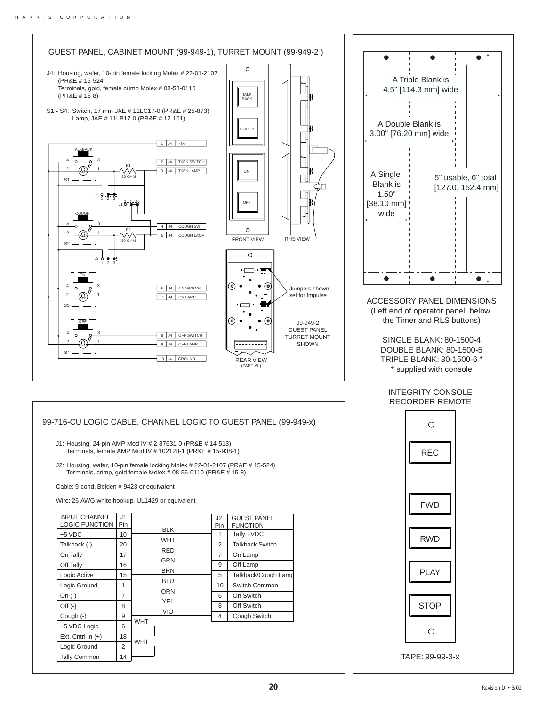Tally Common 14



TAPE: 99-99-3-x